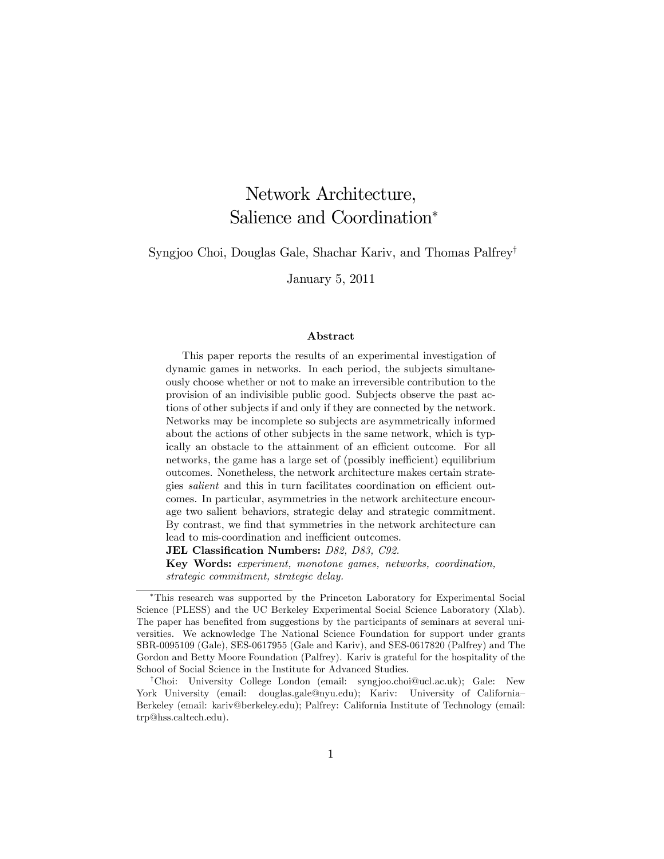# Network Architecture, Salience and Coordination<sup>∗</sup>

Syngjoo Choi, Douglas Gale, Shachar Kariv, and Thomas Palfrey†

January 5, 2011

#### Abstract

This paper reports the results of an experimental investigation of dynamic games in networks. In each period, the subjects simultaneously choose whether or not to make an irreversible contribution to the provision of an indivisible public good. Subjects observe the past actions of other subjects if and only if they are connected by the network. Networks may be incomplete so subjects are asymmetrically informed about the actions of other subjects in the same network, which is typically an obstacle to the attainment of an efficient outcome. For all networks, the game has a large set of (possibly inefficient) equilibrium outcomes. Nonetheless, the network architecture makes certain strategies salient and this in turn facilitates coordination on efficient outcomes. In particular, asymmetries in the network architecture encourage two salient behaviors, strategic delay and strategic commitment. By contrast, we find that symmetries in the network architecture can lead to mis-coordination and inefficient outcomes.

JEL Classification Numbers: D82, D83, C92.

Key Words: experiment, monotone games, networks, coordination, strategic commitment, strategic delay.

<sup>∗</sup>This research was supported by the Princeton Laboratory for Experimental Social Science (PLESS) and the UC Berkeley Experimental Social Science Laboratory (Xlab). The paper has benefited from suggestions by the participants of seminars at several universities. We acknowledge The National Science Foundation for support under grants SBR-0095109 (Gale), SES-0617955 (Gale and Kariv), and SES-0617820 (Palfrey) and The Gordon and Betty Moore Foundation (Palfrey). Kariv is grateful for the hospitality of the School of Social Science in the Institute for Advanced Studies.

<sup>†</sup>Choi: University College London (email: syngjoo.choi@ucl.ac.uk); Gale: New York University (email: douglas.gale@nyu.edu); Kariv: University of California Berkeley (email: kariv@berkeley.edu); Palfrey: California Institute of Technology (email: trp@hss.caltech.edu).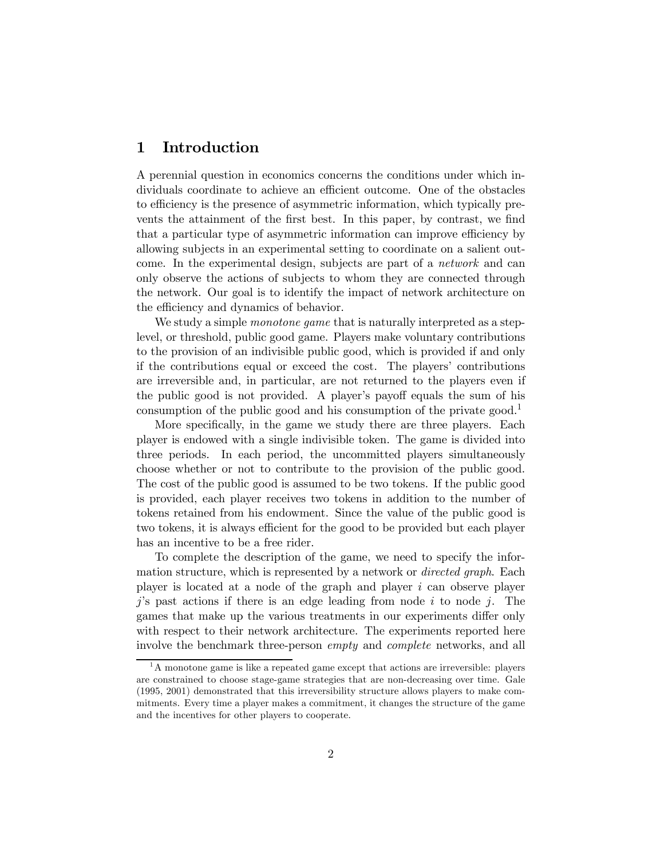# 1 Introduction

A perennial question in economics concerns the conditions under which individuals coordinate to achieve an efficient outcome. One of the obstacles to efficiency is the presence of asymmetric information, which typically prevents the attainment of the first best. In this paper, by contrast, we find that a particular type of asymmetric information can improve efficiency by allowing subjects in an experimental setting to coordinate on a salient outcome. In the experimental design, subjects are part of a network and can only observe the actions of subjects to whom they are connected through the network. Our goal is to identify the impact of network architecture on the efficiency and dynamics of behavior.

We study a simple *monotone game* that is naturally interpreted as a steplevel, or threshold, public good game. Players make voluntary contributions to the provision of an indivisible public good, which is provided if and only if the contributions equal or exceed the cost. The players' contributions are irreversible and, in particular, are not returned to the players even if the public good is not provided. A player's payoff equals the sum of his consumption of the public good and his consumption of the private good.<sup>1</sup>

More specifically, in the game we study there are three players. Each player is endowed with a single indivisible token. The game is divided into three periods. In each period, the uncommitted players simultaneously choose whether or not to contribute to the provision of the public good. The cost of the public good is assumed to be two tokens. If the public good is provided, each player receives two tokens in addition to the number of tokens retained from his endowment. Since the value of the public good is two tokens, it is always efficient for the good to be provided but each player has an incentive to be a free rider.

To complete the description of the game, we need to specify the information structure, which is represented by a network or *directed graph*. Each player is located at a node of the graph and player  $i$  can observe player  $j$ 's past actions if there is an edge leading from node  $i$  to node  $j$ . The games that make up the various treatments in our experiments differ only with respect to their network architecture. The experiments reported here involve the benchmark three-person empty and complete networks, and all

 $1<sup>1</sup>A$  monotone game is like a repeated game except that actions are irreversible: players are constrained to choose stage-game strategies that are non-decreasing over time. Gale (1995, 2001) demonstrated that this irreversibility structure allows players to make commitments. Every time a player makes a commitment, it changes the structure of the game and the incentives for other players to cooperate.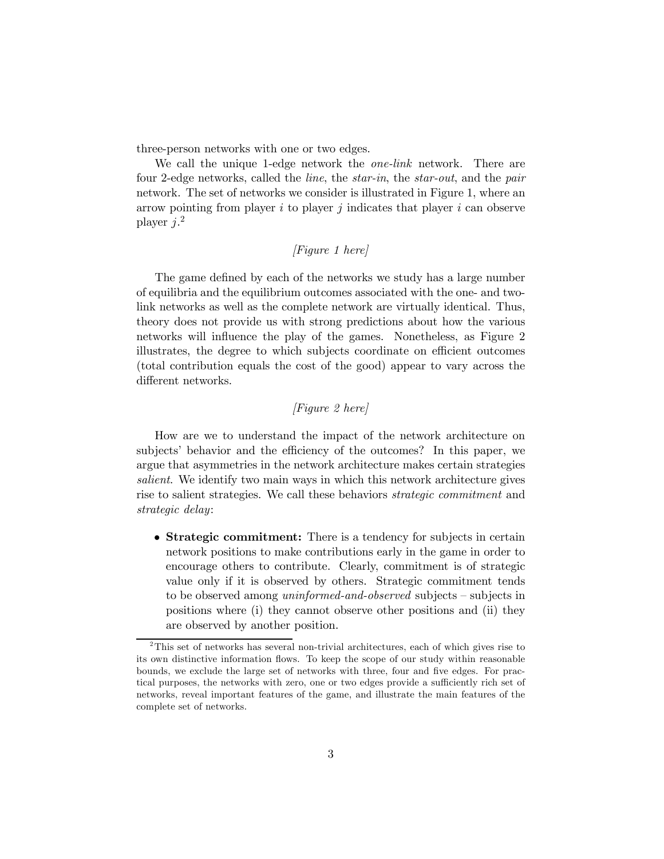three-person networks with one or two edges.

We call the unique 1-edge network the *one-link* network. There are four 2-edge networks, called the line, the star-in, the star-out, and the pair network. The set of networks we consider is illustrated in Figure 1, where an arrow pointing from player  $i$  to player  $j$  indicates that player  $i$  can observe player  $j.<sup>2</sup>$ 

## [Figure 1 here]

The game defined by each of the networks we study has a large number of equilibria and the equilibrium outcomes associated with the one- and twolink networks as well as the complete network are virtually identical. Thus, theory does not provide us with strong predictions about how the various networks will influence the play of the games. Nonetheless, as Figure 2 illustrates, the degree to which subjects coordinate on efficient outcomes (total contribution equals the cost of the good) appear to vary across the different networks.

## [Figure 2 here]

How are we to understand the impact of the network architecture on subjects' behavior and the efficiency of the outcomes? In this paper, we argue that asymmetries in the network architecture makes certain strategies salient. We identify two main ways in which this network architecture gives rise to salient strategies. We call these behaviors *strategic commitment* and strategic delay:

• Strategic commitment: There is a tendency for subjects in certain network positions to make contributions early in the game in order to encourage others to contribute. Clearly, commitment is of strategic value only if it is observed by others. Strategic commitment tends to be observed among *uninformed-and-observed* subjects – subjects in positions where (i) they cannot observe other positions and (ii) they are observed by another position.

 $2$ This set of networks has several non-trivial architectures, each of which gives rise to its own distinctive information flows. To keep the scope of our study within reasonable bounds, we exclude the large set of networks with three, four and five edges. For practical purposes, the networks with zero, one or two edges provide a sufficiently rich set of networks, reveal important features of the game, and illustrate the main features of the complete set of networks.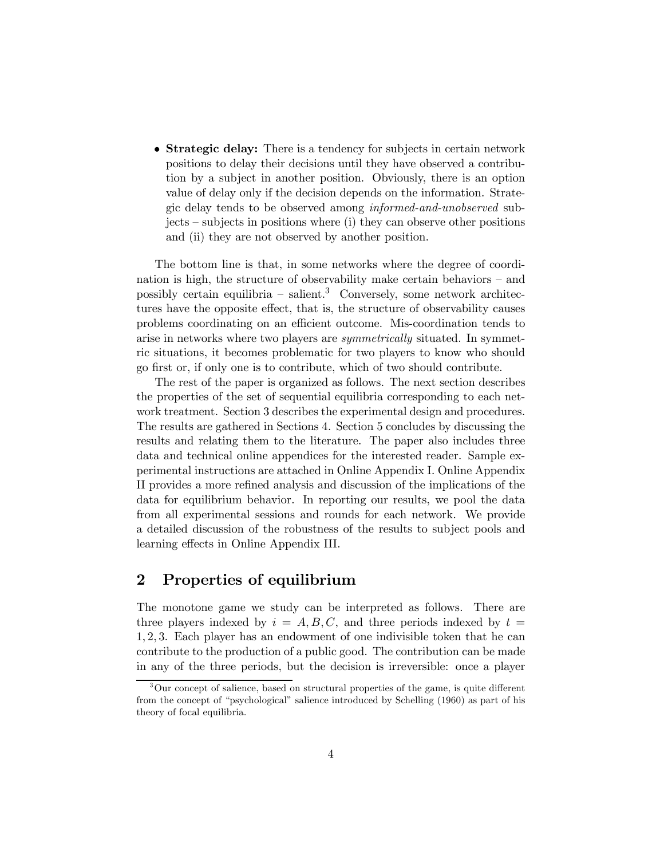• Strategic delay: There is a tendency for subjects in certain network positions to delay their decisions until they have observed a contribution by a subject in another position. Obviously, there is an option value of delay only if the decision depends on the information. Strategic delay tends to be observed among informed-and-unobserved subjects — subjects in positions where (i) they can observe other positions and (ii) they are not observed by another position.

The bottom line is that, in some networks where the degree of coordination is high, the structure of observability make certain behaviors — and possibly certain equilibria – salient.<sup>3</sup> Conversely, some network architectures have the opposite effect, that is, the structure of observability causes problems coordinating on an efficient outcome. Mis-coordination tends to arise in networks where two players are *symmetrically* situated. In symmetric situations, it becomes problematic for two players to know who should go first or, if only one is to contribute, which of two should contribute.

The rest of the paper is organized as follows. The next section describes the properties of the set of sequential equilibria corresponding to each network treatment. Section 3 describes the experimental design and procedures. The results are gathered in Sections 4. Section 5 concludes by discussing the results and relating them to the literature. The paper also includes three data and technical online appendices for the interested reader. Sample experimental instructions are attached in Online Appendix I. Online Appendix II provides a more refined analysis and discussion of the implications of the data for equilibrium behavior. In reporting our results, we pool the data from all experimental sessions and rounds for each network. We provide a detailed discussion of the robustness of the results to subject pools and learning effects in Online Appendix III.

# 2 Properties of equilibrium

The monotone game we study can be interpreted as follows. There are three players indexed by  $i = A, B, C$ , and three periods indexed by  $t =$  $1, 2, 3$ . Each player has an endowment of one indivisible token that he can contribute to the production of a public good. The contribution can be made in any of the three periods, but the decision is irreversible: once a player

<sup>&</sup>lt;sup>3</sup>Our concept of salience, based on structural properties of the game, is quite different from the concept of "psychological" salience introduced by Schelling (1960) as part of his theory of focal equilibria.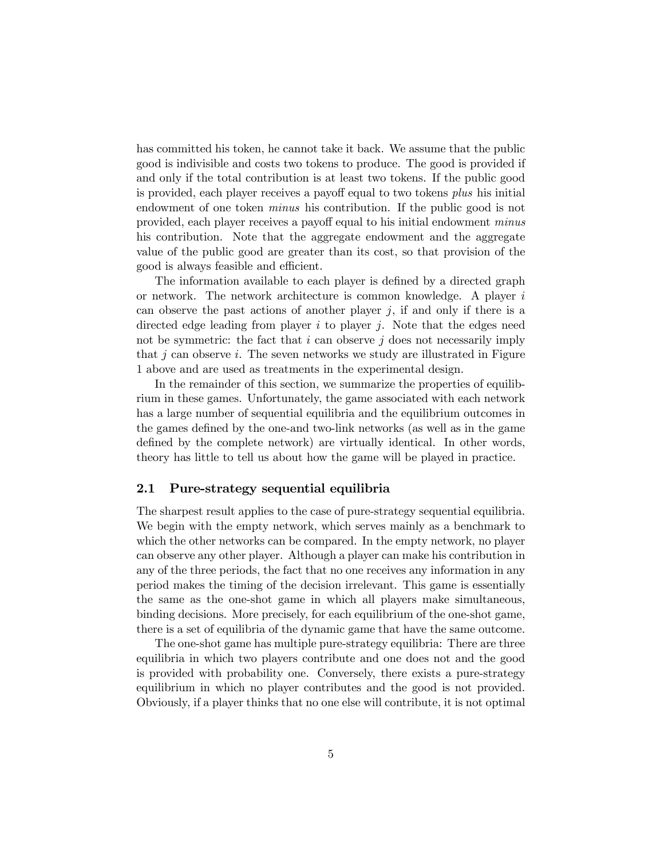has committed his token, he cannot take it back. We assume that the public good is indivisible and costs two tokens to produce. The good is provided if and only if the total contribution is at least two tokens. If the public good is provided, each player receives a payoff equal to two tokens plus his initial endowment of one token *minus* his contribution. If the public good is not provided, each player receives a payoff equal to his initial endowment minus his contribution. Note that the aggregate endowment and the aggregate value of the public good are greater than its cost, so that provision of the good is always feasible and efficient.

The information available to each player is defined by a directed graph or network. The network architecture is common knowledge. A player  $i$ can observe the past actions of another player  $j$ , if and only if there is a directed edge leading from player  $i$  to player  $j$ . Note that the edges need not be symmetric: the fact that  $i$  can observe  $j$  does not necessarily imply that  $j$  can observe  $i$ . The seven networks we study are illustrated in Figure 1 above and are used as treatments in the experimental design.

In the remainder of this section, we summarize the properties of equilibrium in these games. Unfortunately, the game associated with each network has a large number of sequential equilibria and the equilibrium outcomes in the games defined by the one-and two-link networks (as well as in the game defined by the complete network) are virtually identical. In other words, theory has little to tell us about how the game will be played in practice.

#### 2.1 Pure-strategy sequential equilibria

The sharpest result applies to the case of pure-strategy sequential equilibria. We begin with the empty network, which serves mainly as a benchmark to which the other networks can be compared. In the empty network, no player can observe any other player. Although a player can make his contribution in any of the three periods, the fact that no one receives any information in any period makes the timing of the decision irrelevant. This game is essentially the same as the one-shot game in which all players make simultaneous, binding decisions. More precisely, for each equilibrium of the one-shot game, there is a set of equilibria of the dynamic game that have the same outcome.

The one-shot game has multiple pure-strategy equilibria: There are three equilibria in which two players contribute and one does not and the good is provided with probability one. Conversely, there exists a pure-strategy equilibrium in which no player contributes and the good is not provided. Obviously, if a player thinks that no one else will contribute, it is not optimal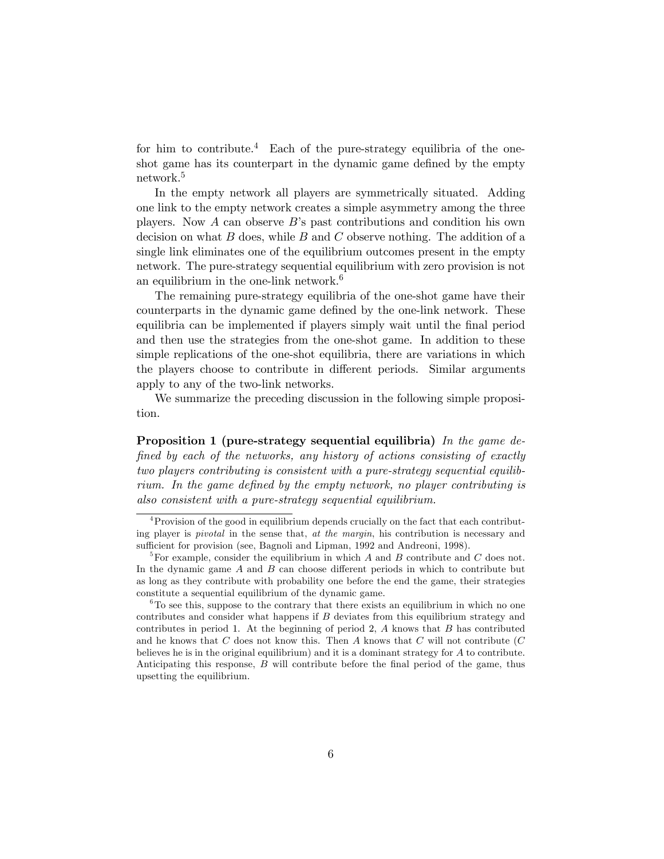for him to contribute.<sup>4</sup> Each of the pure-strategy equilibria of the oneshot game has its counterpart in the dynamic game defined by the empty network.<sup>5</sup>

In the empty network all players are symmetrically situated. Adding one link to the empty network creates a simple asymmetry among the three players. Now  $A$  can observe  $B$ 's past contributions and condition his own decision on what  $B$  does, while  $B$  and  $C$  observe nothing. The addition of a single link eliminates one of the equilibrium outcomes present in the empty network. The pure-strategy sequential equilibrium with zero provision is not an equilibrium in the one-link network.<sup>6</sup>

The remaining pure-strategy equilibria of the one-shot game have their counterparts in the dynamic game defined by the one-link network. These equilibria can be implemented if players simply wait until the final period and then use the strategies from the one-shot game. In addition to these simple replications of the one-shot equilibria, there are variations in which the players choose to contribute in different periods. Similar arguments apply to any of the two-link networks.

We summarize the preceding discussion in the following simple proposition.

Proposition 1 (pure-strategy sequential equilibria) In the game defined by each of the networks, any history of actions consisting of exactly two players contributing is consistent with a pure-strategy sequential equilibrium. In the game defined by the empty network, no player contributing is also consistent with a pure-strategy sequential equilibrium.

 $4P<sup>4</sup>$  Provision of the good in equilibrium depends crucially on the fact that each contributing player is pivotal in the sense that, at the margin, his contribution is necessary and sufficient for provision (see, Bagnoli and Lipman, 1992 and Andreoni, 1998).

<sup>&</sup>lt;sup>5</sup>For example, consider the equilibrium in which  $\tilde{A}$  and  $\tilde{B}$  contribute and  $\tilde{C}$  does not. In the dynamic game  $A$  and  $B$  can choose different periods in which to contribute but as long as they contribute with probability one before the end the game, their strategies constitute a sequential equilibrium of the dynamic game.

 $6T$ o see this, suppose to the contrary that there exists an equilibrium in which no one contributes and consider what happens if  $B$  deviates from this equilibrium strategy and contributes in period 1. At the beginning of period 2,  $A$  knows that  $B$  has contributed and he knows that  $C$  does not know this. Then  $A$  knows that  $C$  will not contribute  $(C$ believes he is in the original equilibrium) and it is a dominant strategy for  $A$  to contribute. Anticipating this response,  $B$  will contribute before the final period of the game, thus upsetting the equilibrium.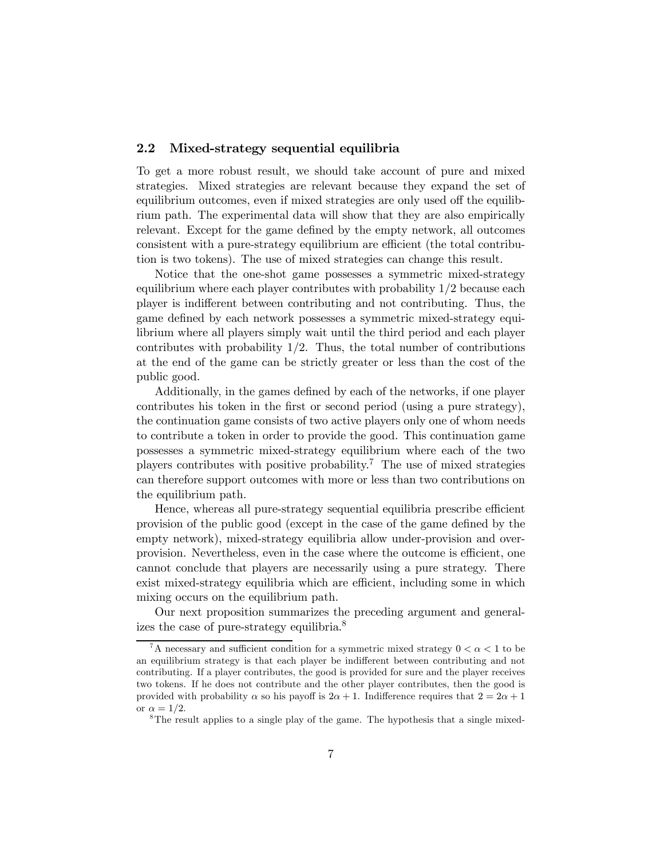#### 2.2 Mixed-strategy sequential equilibria

To get a more robust result, we should take account of pure and mixed strategies. Mixed strategies are relevant because they expand the set of equilibrium outcomes, even if mixed strategies are only used off the equilibrium path. The experimental data will show that they are also empirically relevant. Except for the game defined by the empty network, all outcomes consistent with a pure-strategy equilibrium are efficient (the total contribution is two tokens). The use of mixed strategies can change this result.

Notice that the one-shot game possesses a symmetric mixed-strategy equilibrium where each player contributes with probability 12 because each player is indifferent between contributing and not contributing. Thus, the game defined by each network possesses a symmetric mixed-strategy equilibrium where all players simply wait until the third period and each player contributes with probability  $1/2$ . Thus, the total number of contributions at the end of the game can be strictly greater or less than the cost of the public good.

Additionally, in the games defined by each of the networks, if one player contributes his token in the first or second period (using a pure strategy), the continuation game consists of two active players only one of whom needs to contribute a token in order to provide the good. This continuation game possesses a symmetric mixed-strategy equilibrium where each of the two players contributes with positive probability.<sup>7</sup> The use of mixed strategies can therefore support outcomes with more or less than two contributions on the equilibrium path.

Hence, whereas all pure-strategy sequential equilibria prescribe efficient provision of the public good (except in the case of the game defined by the empty network), mixed-strategy equilibria allow under-provision and overprovision. Nevertheless, even in the case where the outcome is efficient, one cannot conclude that players are necessarily using a pure strategy. There exist mixed-strategy equilibria which are efficient, including some in which mixing occurs on the equilibrium path.

Our next proposition summarizes the preceding argument and generalizes the case of pure-strategy equilibria.8

 $^7\text{A}$  necessary and sufficient condition for a symmetric mixed strategy  $0<\alpha<1$  to be an equilibrium strategy is that each player be indifferent between contributing and not contributing. If a player contributes, the good is provided for sure and the player receives two tokens. If he does not contribute and the other player contributes, then the good is provided with probability  $\alpha$  so his payoff is  $2\alpha + 1$ . Indifference requires that  $2=2\alpha + 1$ or  $\alpha = 1/2$ .

<sup>&</sup>lt;sup>8</sup>The result applies to a single play of the game. The hypothesis that a single mixed-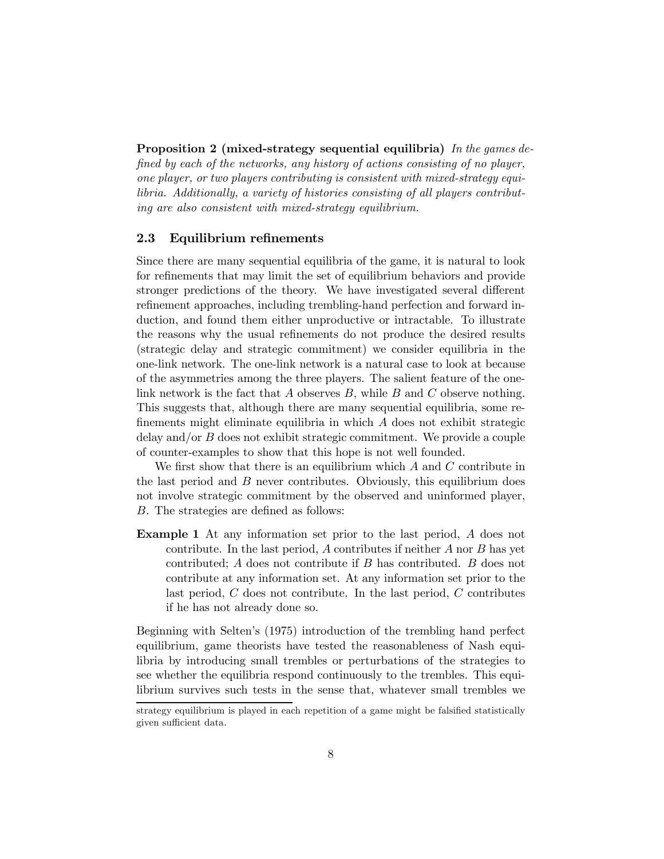Proposition 2 (mixed-strategy sequential equilibria) In the games defined by each of the networks, any history of actions consisting of no player, one player, or two players contributing is consistent with mixed-strategy equilibria. Additionally, a variety of histories consisting of all players contributing are also consistent with mixed-strategy equilibrium.

#### 2.3 Equilibrium refinements

Since there are many sequential equilibria of the game, it is natural to look for refinements that may limit the set of equilibrium behaviors and provide stronger predictions of the theory. We have investigated several different refinement approaches, including trembling-hand perfection and forward induction, and found them either unproductive or intractable. To illustrate the reasons why the usual refinements do not produce the desired results (strategic delay and strategic commitment) we consider equilibria in the one-link network. The one-link network is a natural case to look at because of the asymmetries among the three players. The salient feature of the onelink network is the fact that  $A$  observes  $B$ , while  $B$  and  $C$  observe nothing. This suggests that, although there are many sequential equilibria, some refinements might eliminate equilibria in which  $A$  does not exhibit strategic delay and/or  $B$  does not exhibit strategic commitment. We provide a couple of counter-examples to show that this hope is not well founded.

We first show that there is an equilibrium which  $A$  and  $C$  contribute in the last period and  $B$  never contributes. Obviously, this equilibrium does not involve strategic commitment by the observed and uninformed player, . The strategies are defined as follows:

Example 1 At any information set prior to the last period, A does not contribute. In the last period, A contributes if neither A nor  $B$  has yet contributed;  $A$  does not contribute if  $B$  has contributed.  $B$  does not contribute at any information set. At any information set prior to the last period,  $C$  does not contribute. In the last period,  $C$  contributes if he has not already done so.

Beginning with Selten's (1975) introduction of the trembling hand perfect equilibrium, game theorists have tested the reasonableness of Nash equilibria by introducing small trembles or perturbations of the strategies to see whether the equilibria respond continuously to the trembles. This equilibrium survives such tests in the sense that, whatever small trembles we

strategy equilibrium is played in each repetition of a game might be falsified statistically given sufficient data.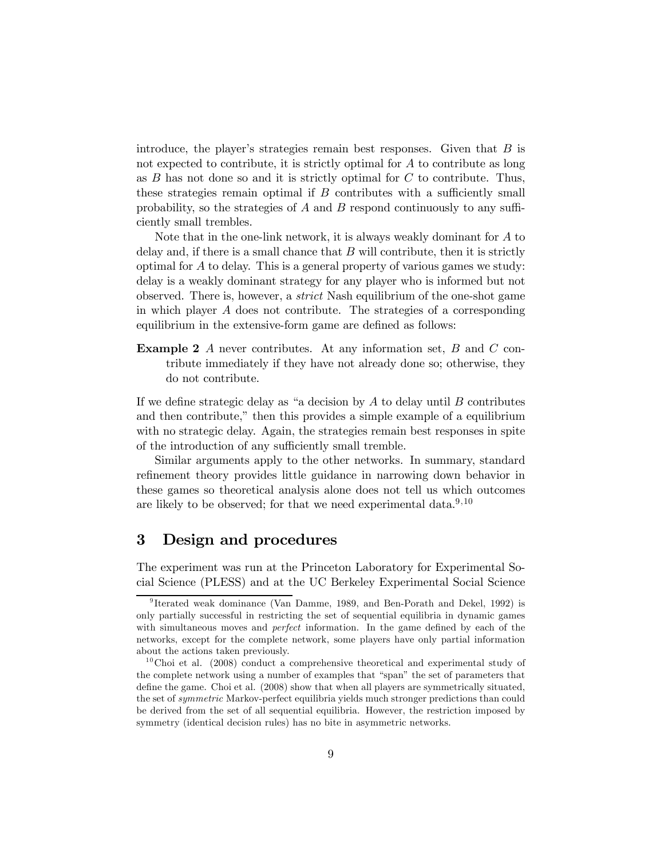introduce, the player's strategies remain best responses. Given that  $B$  is not expected to contribute, it is strictly optimal for  $A$  to contribute as long as  $B$  has not done so and it is strictly optimal for  $C$  to contribute. Thus, these strategies remain optimal if  $B$  contributes with a sufficiently small probability, so the strategies of  $A$  and  $B$  respond continuously to any sufficiently small trembles.

Note that in the one-link network, it is always weakly dominant for  $A$  to delay and, if there is a small chance that  $B$  will contribute, then it is strictly optimal for  $A$  to delay. This is a general property of various games we study: delay is a weakly dominant strategy for any player who is informed but not observed. There is, however, a strict Nash equilibrium of the one-shot game in which player  $A$  does not contribute. The strategies of a corresponding equilibrium in the extensive-form game are defined as follows:

**Example 2**  $\vec{A}$  never contributes. At any information set,  $\vec{B}$  and  $\vec{C}$  contribute immediately if they have not already done so; otherwise, they do not contribute.

If we define strategic delay as "a decision by  $A$  to delay until  $B$  contributes and then contribute," then this provides a simple example of a equilibrium with no strategic delay. Again, the strategies remain best responses in spite of the introduction of any sufficiently small tremble.

Similar arguments apply to the other networks. In summary, standard refinement theory provides little guidance in narrowing down behavior in these games so theoretical analysis alone does not tell us which outcomes are likely to be observed; for that we need experimental data.  $9,10$ 

## 3 Design and procedures

The experiment was run at the Princeton Laboratory for Experimental Social Science (PLESS) and at the UC Berkeley Experimental Social Science

<sup>&</sup>lt;sup>9</sup> Iterated weak dominance (Van Damme, 1989, and Ben-Porath and Dekel, 1992) is only partially successful in restricting the set of sequential equilibria in dynamic games with simultaneous moves and *perfect* information. In the game defined by each of the networks, except for the complete network, some players have only partial information about the actions taken previously.

 $10$ Choi et al. (2008) conduct a comprehensive theoretical and experimental study of the complete network using a number of examples that "span" the set of parameters that define the game. Choi et al. (2008) show that when all players are symmetrically situated, the set of symmetric Markov-perfect equilibria yields much stronger predictions than could be derived from the set of all sequential equilibria. However, the restriction imposed by symmetry (identical decision rules) has no bite in asymmetric networks.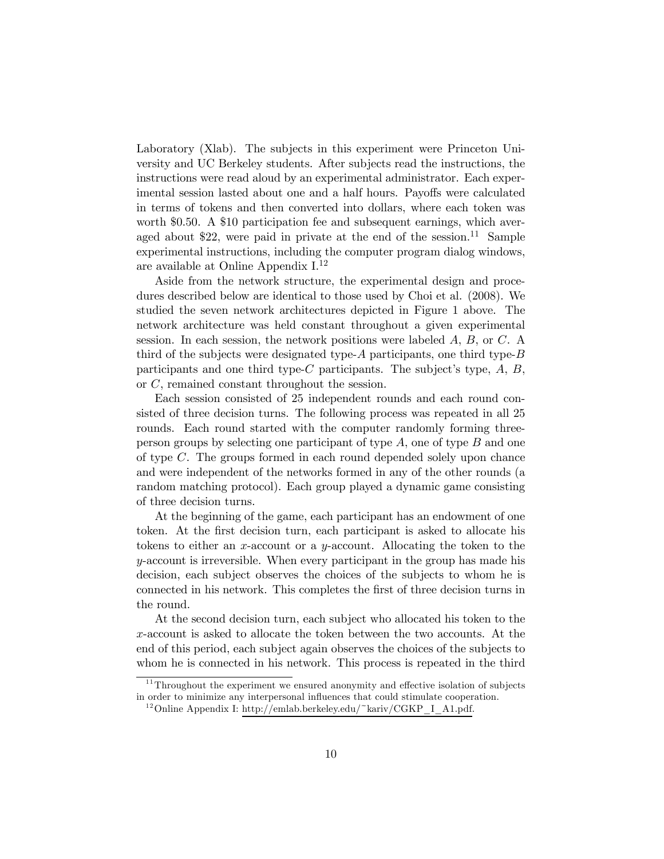Laboratory (Xlab). The subjects in this experiment were Princeton University and UC Berkeley students. After subjects read the instructions, the instructions were read aloud by an experimental administrator. Each experimental session lasted about one and a half hours. Payoffs were calculated in terms of tokens and then converted into dollars, where each token was worth \$0.50. A \$10 participation fee and subsequent earnings, which averaged about \$22, were paid in private at the end of the session.<sup>11</sup> Sample experimental instructions, including the computer program dialog windows, are available at Online Appendix  $I^{12}$ 

Aside from the network structure, the experimental design and procedures described below are identical to those used by Choi et al. (2008). We studied the seven network architectures depicted in Figure 1 above. The network architecture was held constant throughout a given experimental session. In each session, the network positions were labeled  $A, B,$  or  $C$ . A third of the subjects were designated type- $A$  participants, one third type- $B$ participants and one third type- $C$  participants. The subject's type,  $A, B$ , or  $C$ , remained constant throughout the session.

Each session consisted of 25 independent rounds and each round consisted of three decision turns. The following process was repeated in all 25 rounds. Each round started with the computer randomly forming threeperson groups by selecting one participant of type  $A$ , one of type  $B$  and one of type  $C$ . The groups formed in each round depended solely upon chance and were independent of the networks formed in any of the other rounds (a random matching protocol). Each group played a dynamic game consisting of three decision turns.

At the beginning of the game, each participant has an endowment of one token. At the first decision turn, each participant is asked to allocate his tokens to either an x-account or a y-account. Allocating the token to the  $y$ -account is irreversible. When every participant in the group has made his decision, each subject observes the choices of the subjects to whom he is connected in his network. This completes the first of three decision turns in the round.

At the second decision turn, each subject who allocated his token to the  $x$ -account is asked to allocate the token between the two accounts. At the end of this period, each subject again observes the choices of the subjects to whom he is connected in his network. This process is repeated in the third

 $11$ Throughout the experiment we ensured anonymity and effective isolation of subjects in order to minimize any interpersonal influences that could stimulate cooperation.

 $12$ Online Appendix I: http://emlab.berkeley.edu/~kariv/CGKP\_I\_A1.pdf.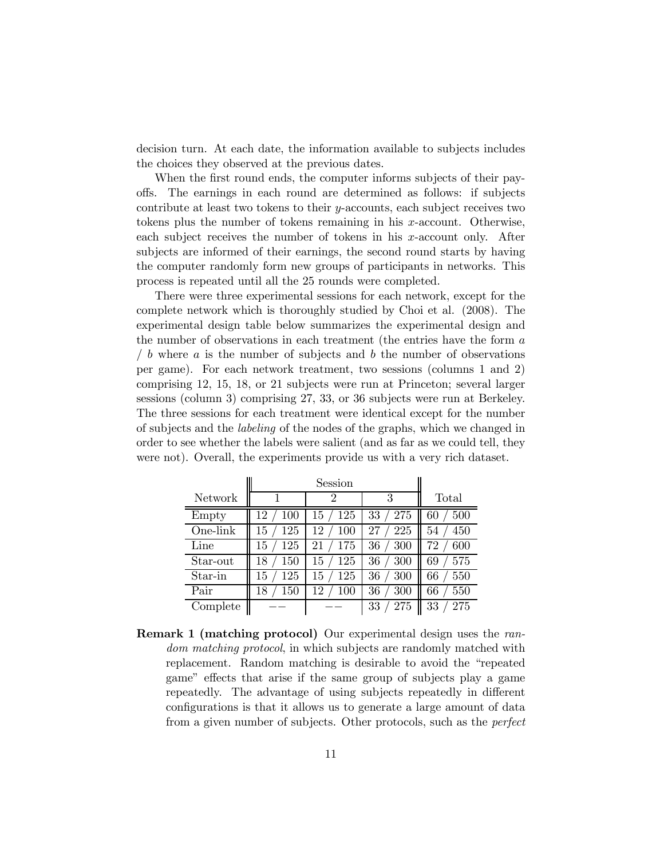decision turn. At each date, the information available to subjects includes the choices they observed at the previous dates.

When the first round ends, the computer informs subjects of their payoffs. The earnings in each round are determined as follows: if subjects contribute at least two tokens to their  $y$ -accounts, each subject receives two tokens plus the number of tokens remaining in his  $x$ -account. Otherwise, each subject receives the number of tokens in his  $x$ -account only. After subjects are informed of their earnings, the second round starts by having the computer randomly form new groups of participants in networks. This process is repeated until all the 25 rounds were completed.

There were three experimental sessions for each network, except for the complete network which is thoroughly studied by Choi et al. (2008). The experimental design table below summarizes the experimental design and the number of observations in each treatment (the entries have the form  $a$  $\ell$  b where a is the number of subjects and b the number of observations per game). For each network treatment, two sessions (columns 1 and 2) comprising 12, 15, 18, or 21 subjects were run at Princeton; several larger sessions (column 3) comprising 27, 33, or 36 subjects were run at Berkeley. The three sessions for each treatment were identical except for the number of subjects and the labeling of the nodes of the graphs, which we changed in order to see whether the labels were salient (and as far as we could tell, they were not). Overall, the experiments provide us with a very rich dataset.

| <b>Network</b> |     | 2   | 3         | Total     |
|----------------|-----|-----|-----------|-----------|
| Empty          | 12  | 15  | 275       | 500       |
|                | 100 | 125 | 33        | 60        |
| One-link       | 125 | 12  | 225       | 54        |
|                | 15  | 100 | 27        | 450       |
| Line           | 125 | 21  | 300       | 72        |
|                | 15  | 175 | 36        | 600       |
| Star-out       | 150 | 125 | 300       | 69        |
|                | 18  | 15  | 36        | 575       |
| Star-in        | 125 | 125 | 300       | 66        |
|                | 15  | 15  | 36        | 550       |
| Pair           | 18  | 12  | 300       | 66        |
|                | 150 | 100 | 36        | 550       |
| Complete       |     |     | 275<br>33 | 33<br>275 |

Remark 1 (matching protocol) Our experimental design uses the random matching protocol, in which subjects are randomly matched with replacement. Random matching is desirable to avoid the "repeated game" effects that arise if the same group of subjects play a game repeatedly. The advantage of using subjects repeatedly in different configurations is that it allows us to generate a large amount of data from a given number of subjects. Other protocols, such as the perfect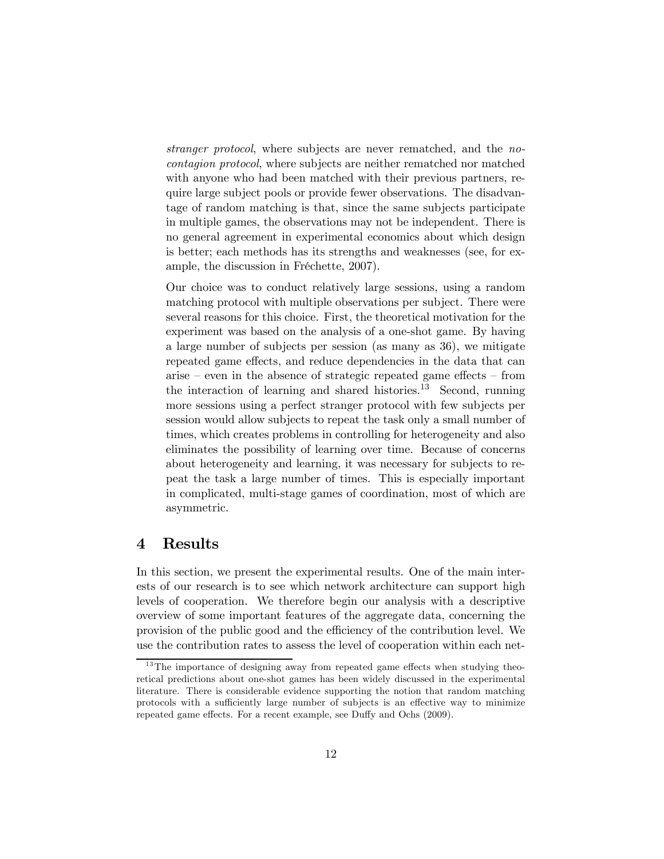stranger protocol, where subjects are never rematched, and the nocontagion protocol, where subjects are neither rematched nor matched with anyone who had been matched with their previous partners, require large subject pools or provide fewer observations. The disadvantage of random matching is that, since the same subjects participate in multiple games, the observations may not be independent. There is no general agreement in experimental economics about which design is better; each methods has its strengths and weaknesses (see, for example, the discussion in Fréchette, 2007).

Our choice was to conduct relatively large sessions, using a random matching protocol with multiple observations per subject. There were several reasons for this choice. First, the theoretical motivation for the experiment was based on the analysis of a one-shot game. By having a large number of subjects per session (as many as 36), we mitigate repeated game effects, and reduce dependencies in the data that can arise — even in the absence of strategic repeated game effects — from the interaction of learning and shared histories.<sup>13</sup> Second, running more sessions using a perfect stranger protocol with few subjects per session would allow subjects to repeat the task only a small number of times, which creates problems in controlling for heterogeneity and also eliminates the possibility of learning over time. Because of concerns about heterogeneity and learning, it was necessary for subjects to repeat the task a large number of times. This is especially important in complicated, multi-stage games of coordination, most of which are asymmetric.

## 4 Results

In this section, we present the experimental results. One of the main interests of our research is to see which network architecture can support high levels of cooperation. We therefore begin our analysis with a descriptive overview of some important features of the aggregate data, concerning the provision of the public good and the efficiency of the contribution level. We use the contribution rates to assess the level of cooperation within each net-

 $13$ The importance of designing away from repeated game effects when studying theoretical predictions about one-shot games has been widely discussed in the experimental literature. There is considerable evidence supporting the notion that random matching protocols with a sufficiently large number of subjects is an effective way to minimize repeated game effects. For a recent example, see Duffy and Ochs (2009).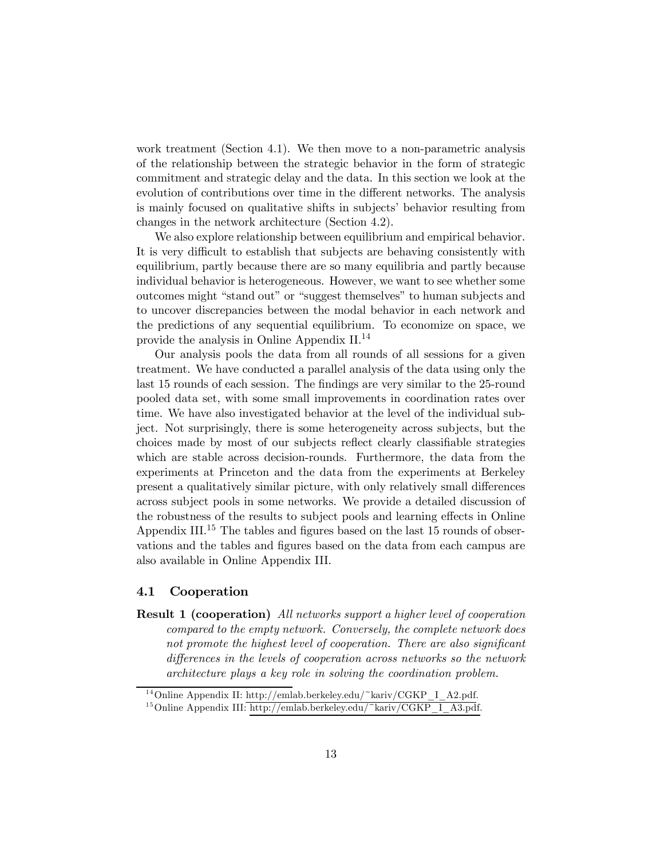work treatment (Section 4.1). We then move to a non-parametric analysis of the relationship between the strategic behavior in the form of strategic commitment and strategic delay and the data. In this section we look at the evolution of contributions over time in the different networks. The analysis is mainly focused on qualitative shifts in subjects' behavior resulting from changes in the network architecture (Section 4.2).

We also explore relationship between equilibrium and empirical behavior. It is very difficult to establish that subjects are behaving consistently with equilibrium, partly because there are so many equilibria and partly because individual behavior is heterogeneous. However, we want to see whether some outcomes might "stand out" or "suggest themselves" to human subjects and to uncover discrepancies between the modal behavior in each network and the predictions of any sequential equilibrium. To economize on space, we provide the analysis in Online Appendix II.<sup>14</sup>

Our analysis pools the data from all rounds of all sessions for a given treatment. We have conducted a parallel analysis of the data using only the last 15 rounds of each session. The findings are very similar to the 25-round pooled data set, with some small improvements in coordination rates over time. We have also investigated behavior at the level of the individual subject. Not surprisingly, there is some heterogeneity across subjects, but the choices made by most of our subjects reflect clearly classifiable strategies which are stable across decision-rounds. Furthermore, the data from the experiments at Princeton and the data from the experiments at Berkeley present a qualitatively similar picture, with only relatively small differences across subject pools in some networks. We provide a detailed discussion of the robustness of the results to subject pools and learning effects in Online Appendix III.<sup>15</sup> The tables and figures based on the last 15 rounds of observations and the tables and figures based on the data from each campus are also available in Online Appendix III.

#### 4.1 Cooperation

Result 1 (cooperation) All networks support a higher level of cooperation compared to the empty network. Conversely, the complete network does not promote the highest level of cooperation. There are also significant differences in the levels of cooperation across networks so the network architecture plays a key role in solving the coordination problem.

<sup>&</sup>lt;sup>14</sup> Online Appendix II: http://emlab.berkeley.edu/~kariv/CGKP\_I\_A2.pdf. <sup>15</sup> Online Appendix III: http://emlab.berkeley.edu/~kariv/CGKP\_I\_A3.pdf.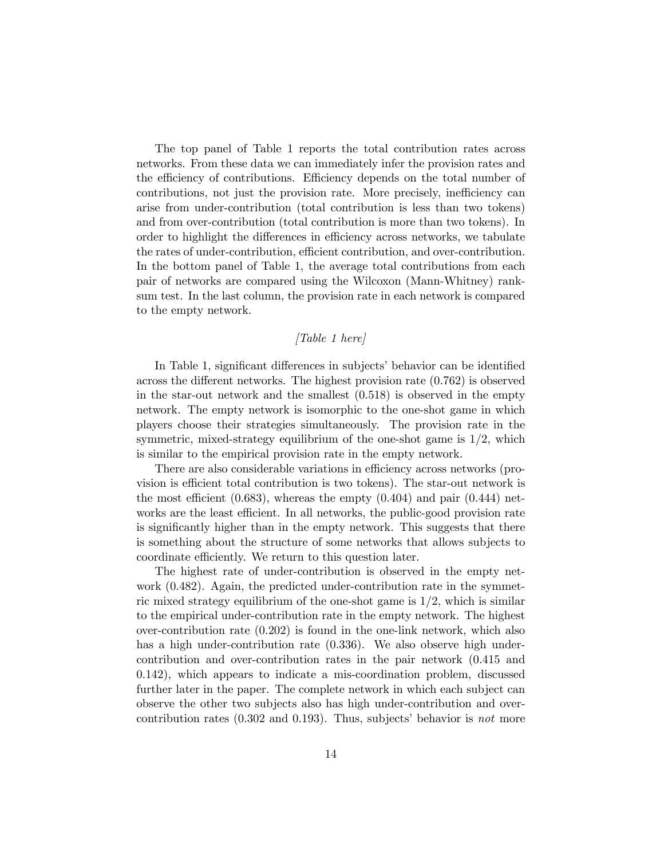The top panel of Table 1 reports the total contribution rates across networks. From these data we can immediately infer the provision rates and the efficiency of contributions. Efficiency depends on the total number of contributions, not just the provision rate. More precisely, inefficiency can arise from under-contribution (total contribution is less than two tokens) and from over-contribution (total contribution is more than two tokens). In order to highlight the differences in efficiency across networks, we tabulate the rates of under-contribution, efficient contribution, and over-contribution. In the bottom panel of Table 1, the average total contributions from each pair of networks are compared using the Wilcoxon (Mann-Whitney) ranksum test. In the last column, the provision rate in each network is compared to the empty network.

#### [Table 1 here]

In Table 1, significant differences in subjects' behavior can be identified across the different networks. The highest provision rate  $(0.762)$  is observed in the star-out network and the smallest  $(0.518)$  is observed in the empty network. The empty network is isomorphic to the one-shot game in which players choose their strategies simultaneously. The provision rate in the symmetric, mixed-strategy equilibrium of the one-shot game is  $1/2$ , which is similar to the empirical provision rate in the empty network.

There are also considerable variations in efficiency across networks (provision is efficient total contribution is two tokens). The star-out network is the most efficient  $(0.683)$ , whereas the empty  $(0.404)$  and pair  $(0.444)$  networks are the least efficient. In all networks, the public-good provision rate is significantly higher than in the empty network. This suggests that there is something about the structure of some networks that allows subjects to coordinate efficiently. We return to this question later.

The highest rate of under-contribution is observed in the empty network (0482). Again, the predicted under-contribution rate in the symmetric mixed strategy equilibrium of the one-shot game is  $1/2$ , which is similar to the empirical under-contribution rate in the empty network. The highest over-contribution rate  $(0.202)$  is found in the one-link network, which also has a high under-contribution rate  $(0.336)$ . We also observe high undercontribution and over-contribution rates in the pair network (0415 and 0142), which appears to indicate a mis-coordination problem, discussed further later in the paper. The complete network in which each subject can observe the other two subjects also has high under-contribution and overcontribution rates  $(0.302 \text{ and } 0.193)$ . Thus, subjects' behavior is *not* more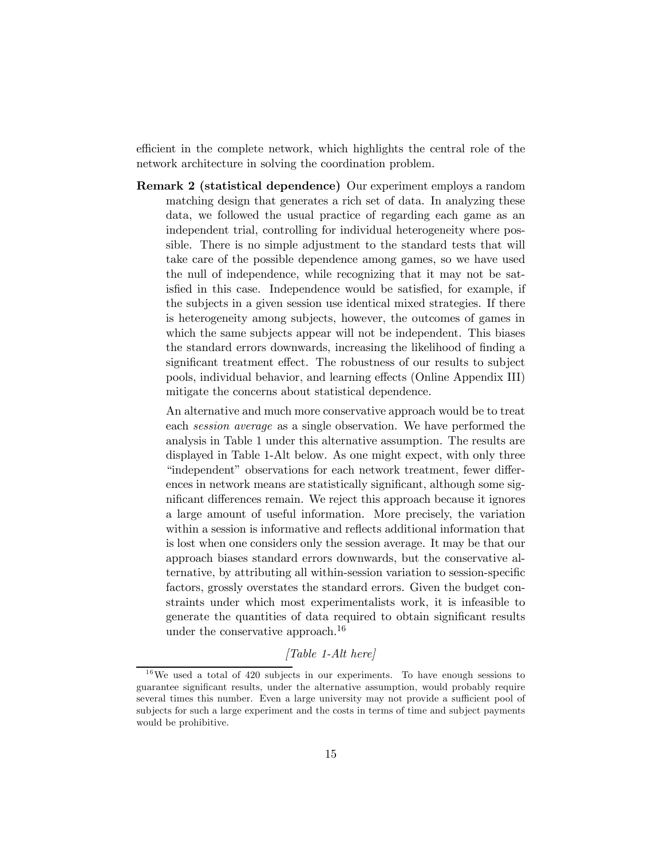efficient in the complete network, which highlights the central role of the network architecture in solving the coordination problem.

Remark 2 (statistical dependence) Our experiment employs a random matching design that generates a rich set of data. In analyzing these data, we followed the usual practice of regarding each game as an independent trial, controlling for individual heterogeneity where possible. There is no simple adjustment to the standard tests that will take care of the possible dependence among games, so we have used the null of independence, while recognizing that it may not be satisfied in this case. Independence would be satisfied, for example, if the subjects in a given session use identical mixed strategies. If there is heterogeneity among subjects, however, the outcomes of games in which the same subjects appear will not be independent. This biases the standard errors downwards, increasing the likelihood of finding a significant treatment effect. The robustness of our results to subject pools, individual behavior, and learning effects (Online Appendix III) mitigate the concerns about statistical dependence.

An alternative and much more conservative approach would be to treat each session average as a single observation. We have performed the analysis in Table 1 under this alternative assumption. The results are displayed in Table 1-Alt below. As one might expect, with only three "independent" observations for each network treatment, fewer differences in network means are statistically significant, although some significant differences remain. We reject this approach because it ignores a large amount of useful information. More precisely, the variation within a session is informative and reflects additional information that is lost when one considers only the session average. It may be that our approach biases standard errors downwards, but the conservative alternative, by attributing all within-session variation to session-specific factors, grossly overstates the standard errors. Given the budget constraints under which most experimentalists work, it is infeasible to generate the quantities of data required to obtain significant results under the conservative approach.<sup>16</sup>

#### [Table 1-Alt here]

 $16$  We used a total of 420 subjects in our experiments. To have enough sessions to guarantee significant results, under the alternative assumption, would probably require several times this number. Even a large university may not provide a sufficient pool of subjects for such a large experiment and the costs in terms of time and subject payments would be prohibitive.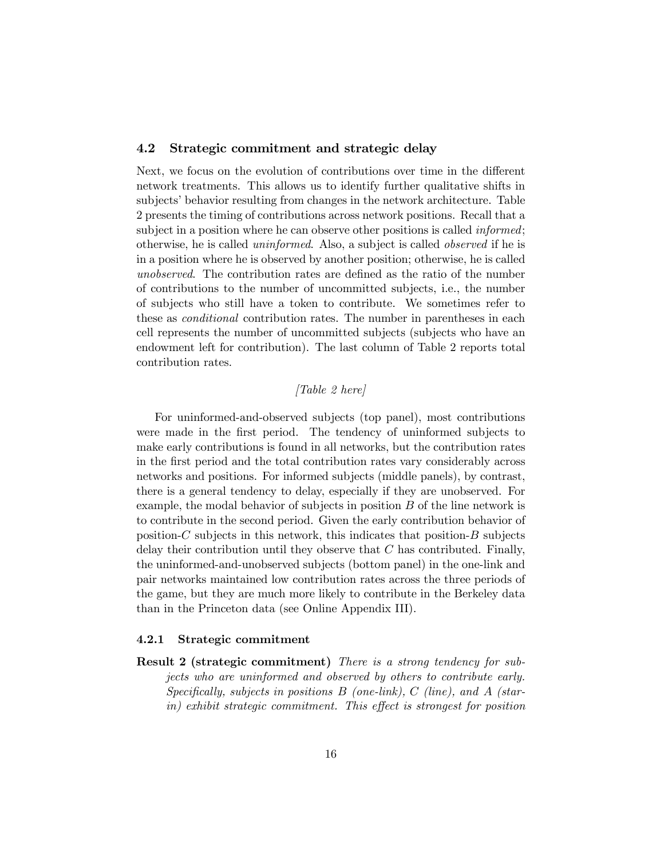#### 4.2 Strategic commitment and strategic delay

Next, we focus on the evolution of contributions over time in the different network treatments. This allows us to identify further qualitative shifts in subjects' behavior resulting from changes in the network architecture. Table 2 presents the timing of contributions across network positions. Recall that a subject in a position where he can observe other positions is called *informed*; otherwise, he is called uninformed. Also, a subject is called observed if he is in a position where he is observed by another position; otherwise, he is called unobserved. The contribution rates are defined as the ratio of the number of contributions to the number of uncommitted subjects, i.e., the number of subjects who still have a token to contribute. We sometimes refer to these as *conditional* contribution rates. The number in parentheses in each cell represents the number of uncommitted subjects (subjects who have an endowment left for contribution). The last column of Table 2 reports total contribution rates.

#### [Table 2 here]

For uninformed-and-observed subjects (top panel), most contributions were made in the first period. The tendency of uninformed subjects to make early contributions is found in all networks, but the contribution rates in the first period and the total contribution rates vary considerably across networks and positions. For informed subjects (middle panels), by contrast, there is a general tendency to delay, especially if they are unobserved. For example, the modal behavior of subjects in position  $B$  of the line network is to contribute in the second period. Given the early contribution behavior of position- $C$  subjects in this network, this indicates that position- $B$  subjects delay their contribution until they observe that  $C$  has contributed. Finally, the uninformed-and-unobserved subjects (bottom panel) in the one-link and pair networks maintained low contribution rates across the three periods of the game, but they are much more likely to contribute in the Berkeley data than in the Princeton data (see Online Appendix III).

#### 4.2.1 Strategic commitment

Result 2 (strategic commitment) There is a strong tendency for subjects who are uninformed and observed by others to contribute early. Specifically, subjects in positions  $B$  (one-link),  $C$  (line), and  $A$  (starin) exhibit strategic commitment. This effect is strongest for position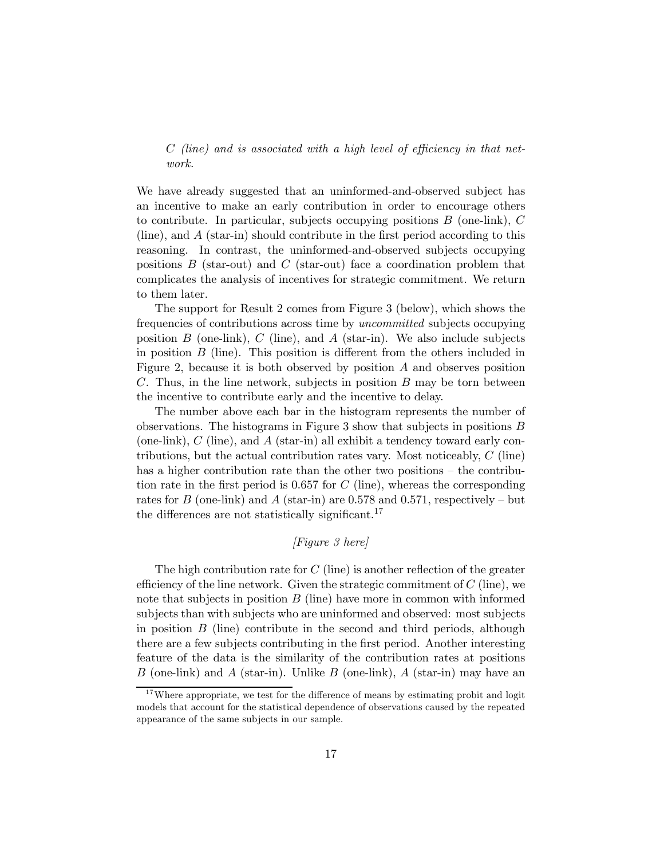$C$  (line) and is associated with a high level of efficiency in that network.

We have already suggested that an uninformed-and-observed subject has an incentive to make an early contribution in order to encourage others to contribute. In particular, subjects occupying positions  $B$  (one-link),  $C$  $(line)$ , and  $\tilde{A}$  (star-in) should contribute in the first period according to this reasoning. In contrast, the uninformed-and-observed subjects occupying positions  $B$  (star-out) and  $C$  (star-out) face a coordination problem that complicates the analysis of incentives for strategic commitment. We return to them later.

The support for Result 2 comes from Figure 3 (below), which shows the frequencies of contributions across time by uncommitted subjects occupying position  $B$  (one-link),  $C$  (line), and  $A$  (star-in). We also include subjects in position  $B$  (line). This position is different from the others included in Figure 2, because it is both observed by position  $A$  and observes position  $C$ . Thus, in the line network, subjects in position  $B$  may be torn between the incentive to contribute early and the incentive to delay.

The number above each bar in the histogram represents the number of observations. The histograms in Figure 3 show that subjects in positions  $B$ (one-link),  $C$  (line), and  $A$  (star-in) all exhibit a tendency toward early contributions, but the actual contribution rates vary. Most noticeably,  $C$  (line) has a higher contribution rate than the other two positions – the contribution rate in the first period is  $0.657$  for  $C$  (line), whereas the corresponding rates for  $B$  (one-link) and  $A$  (star-in) are 0.578 and 0.571, respectively – but the differences are not statistically significant.<sup>17</sup>

#### [Figure 3 here]

The high contribution rate for  $C$  (line) is another reflection of the greater efficiency of the line network. Given the strategic commitment of  $C$  (line), we note that subjects in position  $B$  (line) have more in common with informed subjects than with subjects who are uninformed and observed: most subjects in position  $B$  (line) contribute in the second and third periods, although there are a few subjects contributing in the first period. Another interesting feature of the data is the similarity of the contribution rates at positions B (one-link) and A (star-in). Unlike  $B$  (one-link),  $A$  (star-in) may have an

 $17$  Where appropriate, we test for the difference of means by estimating probit and logit models that account for the statistical dependence of observations caused by the repeated appearance of the same subjects in our sample.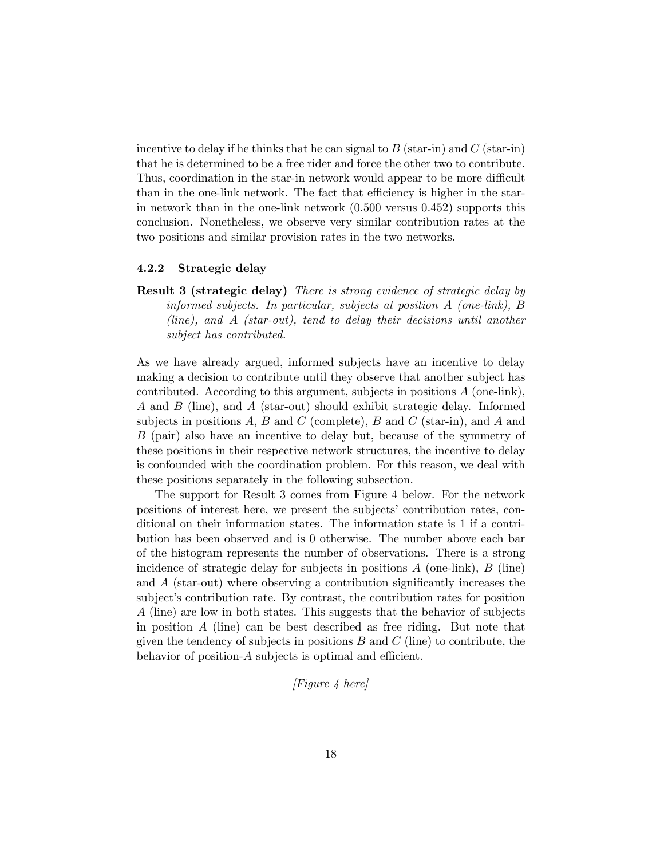incentive to delay if he thinks that he can signal to  $B$  (star-in) and  $C$  (star-in) that he is determined to be a free rider and force the other two to contribute. Thus, coordination in the star-in network would appear to be more difficult than in the one-link network. The fact that efficiency is higher in the starin network than in the one-link network  $(0.500 \text{ versus } 0.452)$  supports this conclusion. Nonetheless, we observe very similar contribution rates at the two positions and similar provision rates in the two networks.

#### 4.2.2 Strategic delay

Result 3 (strategic delay) There is strong evidence of strategic delay by informed subjects. In particular, subjects at position  $A$  (one-link),  $B$ (line), and  $A$  (star-out), tend to delay their decisions until another subject has contributed.

As we have already argued, informed subjects have an incentive to delay making a decision to contribute until they observe that another subject has contributed. According to this argument, subjects in positions  $A$  (one-link), A and  $B$  (line), and  $A$  (star-out) should exhibit strategic delay. Informed subjects in positions  $A, B$  and  $C$  (complete),  $B$  and  $C$  (star-in), and  $A$  and (pair) also have an incentive to delay but, because of the symmetry of these positions in their respective network structures, the incentive to delay is confounded with the coordination problem. For this reason, we deal with these positions separately in the following subsection.

The support for Result 3 comes from Figure 4 below. For the network positions of interest here, we present the subjects' contribution rates, conditional on their information states. The information state is 1 if a contribution has been observed and is 0 otherwise. The number above each bar of the histogram represents the number of observations. There is a strong incidence of strategic delay for subjects in positions  $A$  (one-link),  $B$  (line) and  $A$  (star-out) where observing a contribution significantly increases the subject's contribution rate. By contrast, the contribution rates for position  $A$  (line) are low in both states. This suggests that the behavior of subjects in position  $A$  (line) can be best described as free riding. But note that given the tendency of subjects in positions  $B$  and  $C$  (line) to contribute, the behavior of position- $A$  subjects is optimal and efficient.

### $[Figure 4 here]$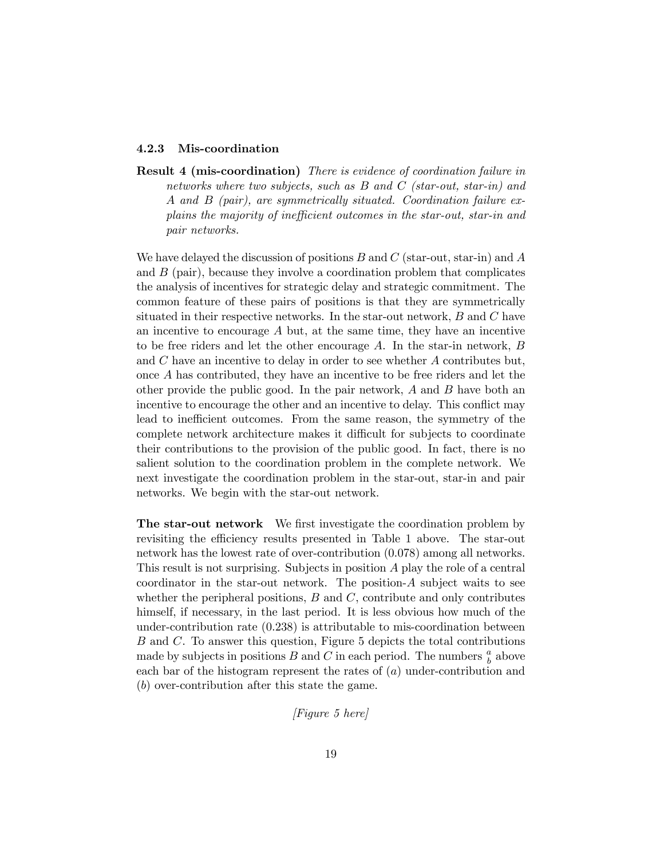#### 4.2.3 Mis-coordination

Result 4 (mis-coordination) There is evidence of coordination failure in networks where two subjects, such as  $B$  and  $C$  (star-out, star-in) and A and  $B$  (pair), are symmetrically situated. Coordination failure explains the majority of inefficient outcomes in the star-out, star-in and pair networks.

We have delayed the discussion of positions  $B$  and  $C$  (star-out, star-in) and  $A$ and  $B$  (pair), because they involve a coordination problem that complicates the analysis of incentives for strategic delay and strategic commitment. The common feature of these pairs of positions is that they are symmetrically situated in their respective networks. In the star-out network,  $B$  and  $C$  have an incentive to encourage  $A$  but, at the same time, they have an incentive to be free riders and let the other encourage  $A$ . In the star-in network,  $B$ and  $C$  have an incentive to delay in order to see whether  $A$  contributes but, once  $A$  has contributed, they have an incentive to be free riders and let the other provide the public good. In the pair network,  $A$  and  $B$  have both an incentive to encourage the other and an incentive to delay. This conflict may lead to inefficient outcomes. From the same reason, the symmetry of the complete network architecture makes it difficult for subjects to coordinate their contributions to the provision of the public good. In fact, there is no salient solution to the coordination problem in the complete network. We next investigate the coordination problem in the star-out, star-in and pair networks. We begin with the star-out network.

The star-out network We first investigate the coordination problem by revisiting the efficiency results presented in Table 1 above. The star-out network has the lowest rate of over-contribution  $(0.078)$  among all networks. This result is not surprising. Subjects in position  $A$  play the role of a central coordinator in the star-out network. The position- $A$  subject waits to see whether the peripheral positions,  $B$  and  $C$ , contribute and only contributes himself, if necessary, in the last period. It is less obvious how much of the under-contribution rate  $(0.238)$  is attributable to mis-coordination between  $B$  and  $C$ . To answer this question, Figure 5 depicts the total contributions made by subjects in positions B and C in each period. The numbers  $\frac{a}{b}$  above each bar of the histogram represent the rates of  $(a)$  under-contribution and () over-contribution after this state the game.

[Figure 5 here]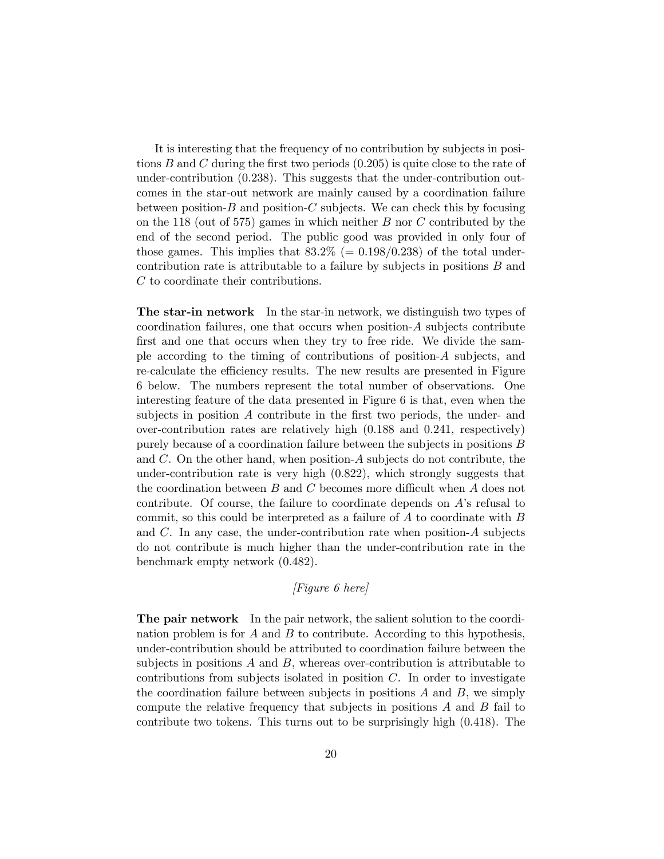It is interesting that the frequency of no contribution by subjects in positions  $B$  and  $C$  during the first two periods  $(0.205)$  is quite close to the rate of under-contribution (0238). This suggests that the under-contribution outcomes in the star-out network are mainly caused by a coordination failure between position- $B$  and position- $C$  subjects. We can check this by focusing on the 118 (out of 575) games in which neither  $B$  nor  $C$  contributed by the end of the second period. The public good was provided in only four of those games. This implies that  $83.2\%$  (= 0.198/0.238) of the total undercontribution rate is attributable to a failure by subjects in positions  $B$  and  $C$  to coordinate their contributions.

The star-in network In the star-in network, we distinguish two types of coordination failures, one that occurs when position- $A$  subjects contribute first and one that occurs when they try to free ride. We divide the sample according to the timing of contributions of position- $A$  subjects, and re-calculate the efficiency results. The new results are presented in Figure 6 below. The numbers represent the total number of observations. One interesting feature of the data presented in Figure 6 is that, even when the subjects in position  $\vec{A}$  contribute in the first two periods, the under- and over-contribution rates are relatively high (0188 and 0241, respectively) purely because of a coordination failure between the subjects in positions  $B$ and  $C$ . On the other hand, when position- $A$  subjects do not contribute, the under-contribution rate is very high (0822), which strongly suggests that the coordination between  $B$  and  $C$  becomes more difficult when  $A$  does not contribute. Of course, the failure to coordinate depends on  $A$ 's refusal to commit, so this could be interpreted as a failure of  $A$  to coordinate with  $B$ and  $C$ . In any case, the under-contribution rate when position- $A$  subjects do not contribute is much higher than the under-contribution rate in the benchmark empty network (0482).

#### [Figure 6 here]

The pair network In the pair network, the salient solution to the coordination problem is for  $A$  and  $B$  to contribute. According to this hypothesis, under-contribution should be attributed to coordination failure between the subjects in positions  $A$  and  $B$ , whereas over-contribution is attributable to contributions from subjects isolated in position  $C$ . In order to investigate the coordination failure between subjects in positions  $A$  and  $B$ , we simply compute the relative frequency that subjects in positions  $A$  and  $B$  fail to contribute two tokens. This turns out to be surprisingly high (0418). The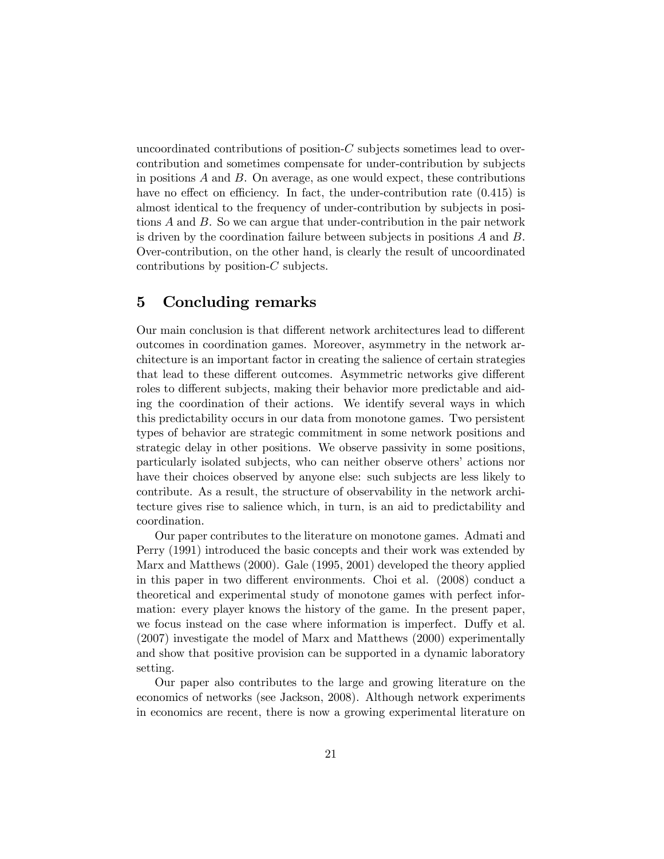uncoordinated contributions of position- $C$  subjects sometimes lead to overcontribution and sometimes compensate for under-contribution by subjects in positions  $A$  and  $B$ . On average, as one would expect, these contributions have no effect on efficiency. In fact, the under-contribution rate  $(0.415)$  is almost identical to the frequency of under-contribution by subjects in positions  $A$  and  $B$ . So we can argue that under-contribution in the pair network is driven by the coordination failure between subjects in positions  $A$  and  $B$ . Over-contribution, on the other hand, is clearly the result of uncoordinated contributions by position- $C$  subjects.

# 5 Concluding remarks

Our main conclusion is that different network architectures lead to different outcomes in coordination games. Moreover, asymmetry in the network architecture is an important factor in creating the salience of certain strategies that lead to these different outcomes. Asymmetric networks give different roles to different subjects, making their behavior more predictable and aiding the coordination of their actions. We identify several ways in which this predictability occurs in our data from monotone games. Two persistent types of behavior are strategic commitment in some network positions and strategic delay in other positions. We observe passivity in some positions, particularly isolated subjects, who can neither observe others' actions nor have their choices observed by anyone else: such subjects are less likely to contribute. As a result, the structure of observability in the network architecture gives rise to salience which, in turn, is an aid to predictability and coordination.

Our paper contributes to the literature on monotone games. Admati and Perry (1991) introduced the basic concepts and their work was extended by Marx and Matthews (2000). Gale (1995, 2001) developed the theory applied in this paper in two different environments. Choi et al. (2008) conduct a theoretical and experimental study of monotone games with perfect information: every player knows the history of the game. In the present paper, we focus instead on the case where information is imperfect. Duffy et al. (2007) investigate the model of Marx and Matthews (2000) experimentally and show that positive provision can be supported in a dynamic laboratory setting.

Our paper also contributes to the large and growing literature on the economics of networks (see Jackson, 2008). Although network experiments in economics are recent, there is now a growing experimental literature on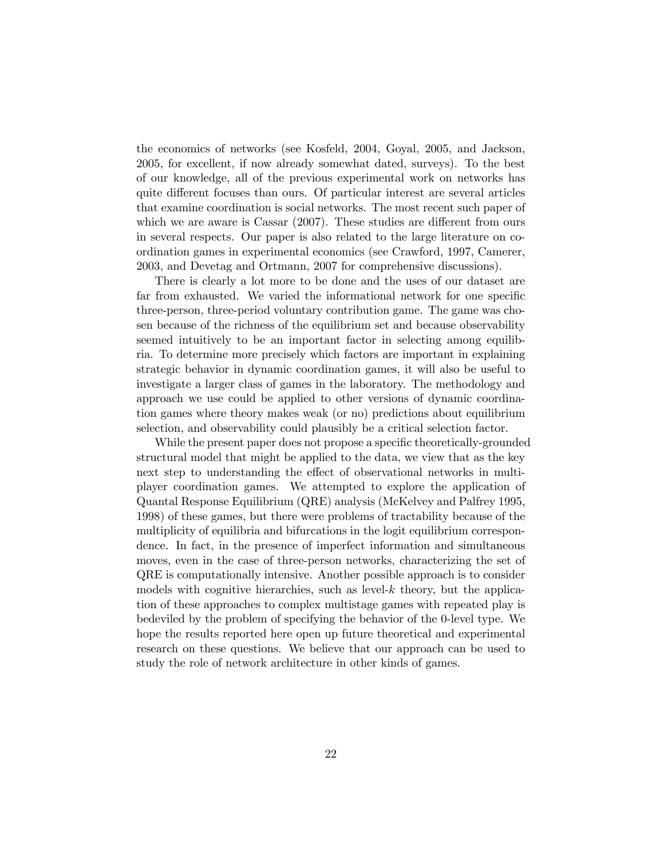the economics of networks (see Kosfeld, 2004, Goyal, 2005, and Jackson, 2005, for excellent, if now already somewhat dated, surveys). To the best of our knowledge, all of the previous experimental work on networks has quite different focuses than ours. Of particular interest are several articles that examine coordination is social networks. The most recent such paper of which we are aware is Cassar  $(2007)$ . These studies are different from ours in several respects. Our paper is also related to the large literature on coordination games in experimental economics (see Crawford, 1997, Camerer, 2003, and Devetag and Ortmann, 2007 for comprehensive discussions).

There is clearly a lot more to be done and the uses of our dataset are far from exhausted. We varied the informational network for one specific three-person, three-period voluntary contribution game. The game was chosen because of the richness of the equilibrium set and because observability seemed intuitively to be an important factor in selecting among equilibria. To determine more precisely which factors are important in explaining strategic behavior in dynamic coordination games, it will also be useful to investigate a larger class of games in the laboratory. The methodology and approach we use could be applied to other versions of dynamic coordination games where theory makes weak (or no) predictions about equilibrium selection, and observability could plausibly be a critical selection factor.

While the present paper does not propose a specific theoretically-grounded structural model that might be applied to the data, we view that as the key next step to understanding the effect of observational networks in multiplayer coordination games. We attempted to explore the application of Quantal Response Equilibrium (QRE) analysis (McKelvey and Palfrey 1995, 1998) of these games, but there were problems of tractability because of the multiplicity of equilibria and bifurcations in the logit equilibrium correspondence. In fact, in the presence of imperfect information and simultaneous moves, even in the case of three-person networks, characterizing the set of QRE is computationally intensive. Another possible approach is to consider models with cognitive hierarchies, such as level- $k$  theory, but the application of these approaches to complex multistage games with repeated play is bedeviled by the problem of specifying the behavior of the 0-level type. We hope the results reported here open up future theoretical and experimental research on these questions. We believe that our approach can be used to study the role of network architecture in other kinds of games.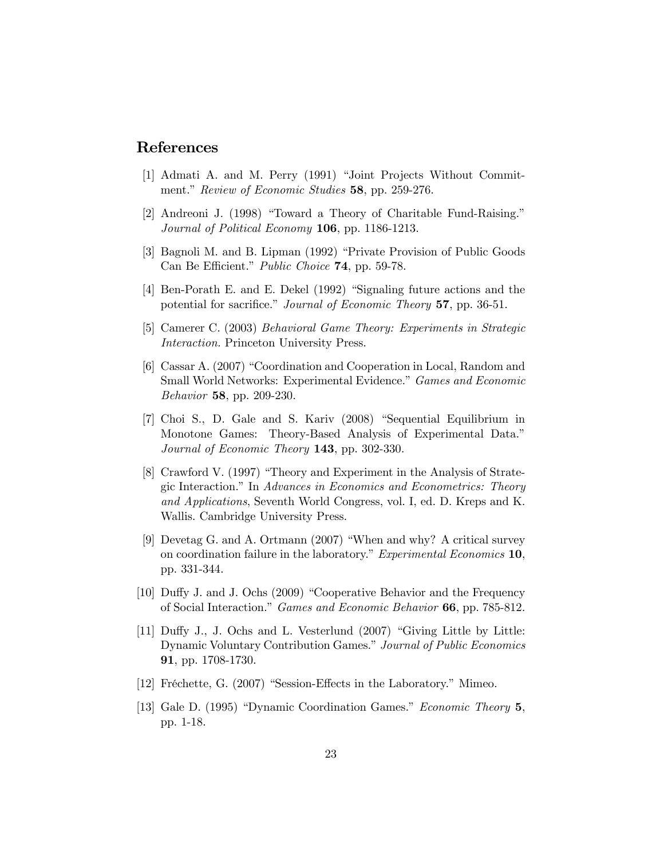## References

- [1] Admati A. and M. Perry (1991) "Joint Projects Without Commitment." Review of Economic Studies 58, pp. 259-276.
- [2] Andreoni J. (1998) "Toward a Theory of Charitable Fund-Raising." Journal of Political Economy **106**, pp. 1186-1213.
- [3] Bagnoli M. and B. Lipman (1992) "Private Provision of Public Goods Can Be Efficient." Public Choice 74, pp. 59-78.
- [4] Ben-Porath E. and E. Dekel (1992) "Signaling future actions and the potential for sacrifice." Journal of Economic Theory 57, pp. 36-51.
- [5] Camerer C. (2003) Behavioral Game Theory: Experiments in Strategic Interaction. Princeton University Press.
- [6] Cassar A. (2007) "Coordination and Cooperation in Local, Random and Small World Networks: Experimental Evidence." Games and Economic Behavior 58, pp. 209-230.
- [7] Choi S., D. Gale and S. Kariv (2008) "Sequential Equilibrium in Monotone Games: Theory-Based Analysis of Experimental Data." Journal of Economic Theory 143, pp. 302-330.
- [8] Crawford V. (1997) "Theory and Experiment in the Analysis of Strategic Interaction." In Advances in Economics and Econometrics: Theory and Applications, Seventh World Congress, vol. I, ed. D. Kreps and K. Wallis. Cambridge University Press.
- [9] Devetag G. and A. Ortmann (2007) "When and why? A critical survey on coordination failure in the laboratory." Experimental Economics 10, pp. 331-344.
- [10] Duffy J. and J. Ochs (2009) "Cooperative Behavior and the Frequency of Social Interaction." Games and Economic Behavior 66, pp. 785-812.
- [11] Duffy J., J. Ochs and L. Vesterlund (2007) "Giving Little by Little: Dynamic Voluntary Contribution Games." Journal of Public Economics 91, pp. 1708-1730.
- [12] Fréchette, G. (2007) "Session-Effects in the Laboratory." Mimeo.
- [13] Gale D. (1995) "Dynamic Coordination Games." Economic Theory 5, pp. 1-18.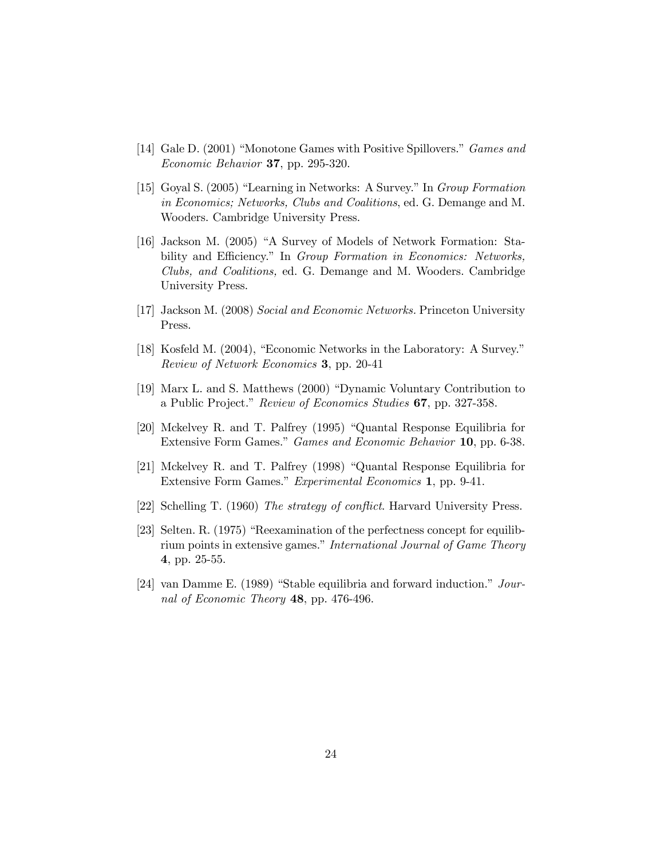- [14] Gale D. (2001) "Monotone Games with Positive Spillovers." Games and Economic Behavior 37, pp. 295-320.
- [15] Goyal S. (2005) "Learning in Networks: A Survey." In Group Formation in Economics; Networks, Clubs and Coalitions, ed. G. Demange and M. Wooders. Cambridge University Press.
- [16] Jackson M. (2005) "A Survey of Models of Network Formation: Stability and Efficiency." In Group Formation in Economics: Networks, Clubs, and Coalitions, ed. G. Demange and M. Wooders. Cambridge University Press.
- [17] Jackson M. (2008) Social and Economic Networks. Princeton University Press.
- [18] Kosfeld M. (2004), "Economic Networks in the Laboratory: A Survey." Review of Network Economics 3, pp. 20-41
- [19] Marx L. and S. Matthews (2000) "Dynamic Voluntary Contribution to a Public Project." Review of Economics Studies 67, pp. 327-358.
- [20] Mckelvey R. and T. Palfrey (1995) "Quantal Response Equilibria for Extensive Form Games." Games and Economic Behavior 10, pp. 6-38.
- [21] Mckelvey R. and T. Palfrey (1998) "Quantal Response Equilibria for Extensive Form Games." Experimental Economics 1, pp. 9-41.
- [22] Schelling T. (1960) The strategy of conflict. Harvard University Press.
- [23] Selten. R. (1975) "Reexamination of the perfectness concept for equilibrium points in extensive games." International Journal of Game Theory 4, pp. 25-55.
- [24] van Damme E. (1989) "Stable equilibria and forward induction." Journal of Economic Theory 48, pp. 476-496.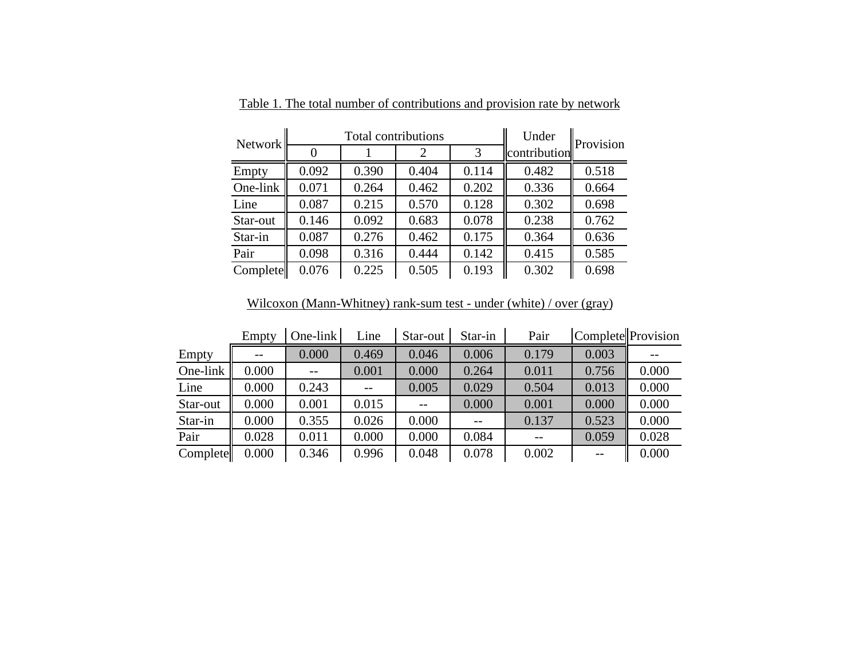| <b>Network</b>  |       | Total contributions | Under | Provision |              |       |
|-----------------|-------|---------------------|-------|-----------|--------------|-------|
|                 |       |                     |       |           | contribution |       |
| Empty           | 0.092 | 0.390               | 0.404 | 0.114     | 0.482        | 0.518 |
| One-link        | 0.071 | 0.264               | 0.462 | 0.202     | 0.336        | 0.664 |
| Line            | 0.087 | 0.215               | 0.570 | 0.128     | 0.302        | 0.698 |
| Star-out        | 0.146 | 0.092               | 0.683 | 0.078     | 0.238        | 0.762 |
| Star-in         | 0.087 | 0.276               | 0.462 | 0.175     | 0.364        | 0.636 |
| Pair            | 0.098 | 0.316               | 0.444 | 0.142     | 0.415        | 0.585 |
| <b>Complete</b> | 0.076 | 0.225               | 0.505 | 0.193     | 0.302        | 0.698 |

Table 1. The total number of contributions and provision rate by network

Wilcoxon (Mann-Whitney) rank-sum test - under (white) / over (gray)

|          | Empty | One-link | Line  | Star-out | Star-in | Pair  |       | Complete Provision |
|----------|-------|----------|-------|----------|---------|-------|-------|--------------------|
| Empty    |       | 0.000    | 0.469 | 0.046    | 0.006   | 0.179 | 0.003 |                    |
| One-link | 0.000 | $-$      | 0.001 | 0.000    | 0.264   | 0.011 | 0.756 | 0.000              |
| Line     | 0.000 | 0.243    | $-$   | 0.005    | 0.029   | 0.504 | 0.013 | 0.000              |
| Star-out | 0.000 | 0.001    | 0.015 | $-$      | 0.000   | 0.001 | 0.000 | 0.000              |
| Star-in  | 0.000 | 0.355    | 0.026 | 0.000    | $ -$    | 0.137 | 0.523 | 0.000              |
| Pair     | 0.028 | 0.011    | 0.000 | 0.000    | 0.084   |       | 0.059 | 0.028              |
| Complete | 0.000 | 0.346    | 0.996 | 0.048    | 0.078   | 0.002 |       | 0.000              |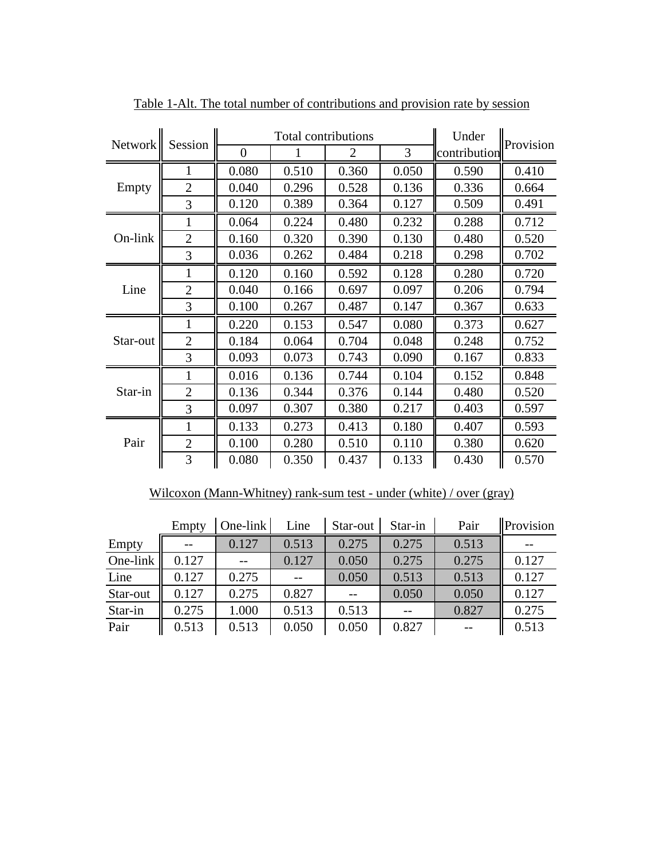| <b>Network</b> |                | <b>Total contributions</b> |       |       |       | Under        |           |
|----------------|----------------|----------------------------|-------|-------|-------|--------------|-----------|
|                | Session        | $\overline{0}$             |       | 2     | 3     | contribution | Provision |
|                | 1              | 0.080                      | 0.510 | 0.360 | 0.050 | 0.590        | 0.410     |
| Empty          | $\overline{2}$ | 0.040                      | 0.296 | 0.528 | 0.136 | 0.336        | 0.664     |
|                | 3              | 0.120                      | 0.389 | 0.364 | 0.127 | 0.509        | 0.491     |
|                | 1              | 0.064                      | 0.224 | 0.480 | 0.232 | 0.288        | 0.712     |
| On-link        | $\overline{2}$ | 0.160                      | 0.320 | 0.390 | 0.130 | 0.480        | 0.520     |
|                | 3              | 0.036                      | 0.262 | 0.484 | 0.218 | 0.298        | 0.702     |
|                | 1              | 0.120                      | 0.160 | 0.592 | 0.128 | 0.280        | 0.720     |
| Line           | $\overline{2}$ | 0.040                      | 0.166 | 0.697 | 0.097 | 0.206        | 0.794     |
|                | 3              | 0.100                      | 0.267 | 0.487 | 0.147 | 0.367        | 0.633     |
|                | 1              | 0.220                      | 0.153 | 0.547 | 0.080 | 0.373        | 0.627     |
| Star-out       | $\overline{2}$ | 0.184                      | 0.064 | 0.704 | 0.048 | 0.248        | 0.752     |
|                | 3              | 0.093                      | 0.073 | 0.743 | 0.090 | 0.167        | 0.833     |
|                | $\mathbf{1}$   | 0.016                      | 0.136 | 0.744 | 0.104 | 0.152        | 0.848     |
| Star-in        | $\overline{2}$ | 0.136                      | 0.344 | 0.376 | 0.144 | 0.480        | 0.520     |
|                | 3              | 0.097                      | 0.307 | 0.380 | 0.217 | 0.403        | 0.597     |
|                |                | 0.133                      | 0.273 | 0.413 | 0.180 | 0.407        | 0.593     |
| Pair           | $\overline{2}$ | 0.100                      | 0.280 | 0.510 | 0.110 | 0.380        | 0.620     |
|                | 3              | 0.080                      | 0.350 | 0.437 | 0.133 | 0.430        | 0.570     |

Table 1-Alt. The total number of contributions and provision rate by session

Wilcoxon (Mann-Whitney) rank-sum test - under (white) / over (gray)

|          | Empty | One-link | Line  | Star-out | Star-in | Pair  | Provision |
|----------|-------|----------|-------|----------|---------|-------|-----------|
| Empty    |       | 0.127    | 0.513 | 0.275    | 0.275   | 0.513 |           |
| One-link | 0.127 |          | 0.127 | 0.050    | 0.275   | 0.275 | 0.127     |
| Line     | 0.127 | 0.275    |       | 0.050    | 0.513   | 0.513 | 0.127     |
| Star-out | 0.127 | 0.275    | 0.827 |          | 0.050   | 0.050 | 0.127     |
| Star-in  | 0.275 | 1.000    | 0.513 | 0.513    |         | 0.827 | 0.275     |
| Pair     | 0.513 | 0.513    | 0.050 | 0.050    | 0.827   |       | 0.513     |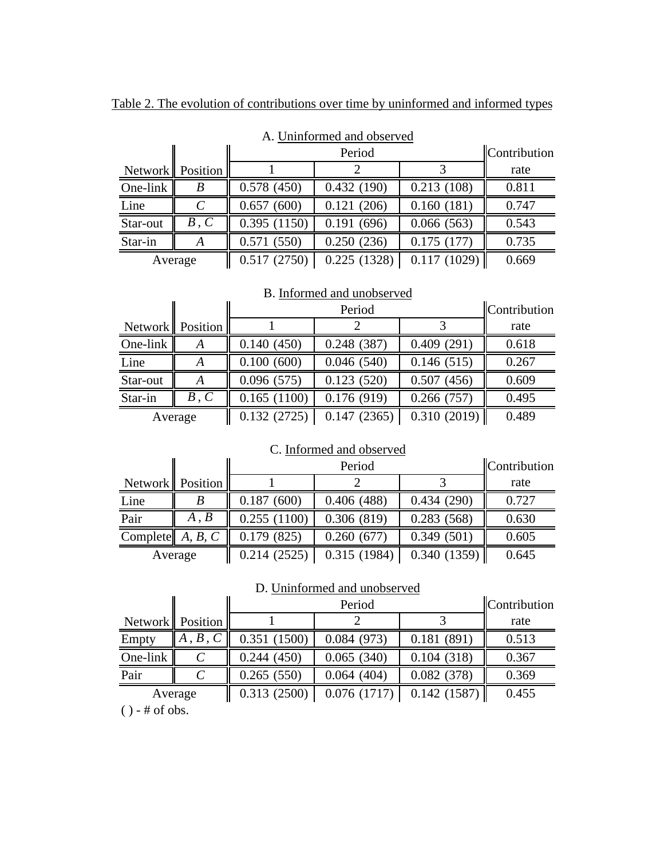| Table 2. The evolution of contributions over time by uninformed and informed types |
|------------------------------------------------------------------------------------|
|------------------------------------------------------------------------------------|

|          | $\Lambda$ . Uninformed and observed |             |             |             |              |  |  |  |  |
|----------|-------------------------------------|-------------|-------------|-------------|--------------|--|--|--|--|
|          |                                     |             | Period      |             | Contribution |  |  |  |  |
|          | Network Position                    |             |             |             | rate         |  |  |  |  |
| One-link | B                                   | 0.578(450)  | 0.432(190)  | 0.213(108)  | 0.811        |  |  |  |  |
| Line     | $\mathcal{C}$                       | 0.657(600)  | 0.121(206)  | 0.160(181)  | 0.747        |  |  |  |  |
| Star-out | B, C                                | 0.395(1150) | 0.191(696)  | 0.066(563)  | 0.543        |  |  |  |  |
| Star-in  | A                                   | 0.571(550)  | 0.250(236)  | 0.175(177)  | 0.735        |  |  |  |  |
|          | Average                             | 0.517(2750) | 0.225(1328) | 0.117(1029) | 0.669        |  |  |  |  |

|  |  | A. Uninformed and observed |  |  |
|--|--|----------------------------|--|--|
|--|--|----------------------------|--|--|

|  | B. Informed and unobserved |
|--|----------------------------|
|  |                            |

|          |                  |             | Contribution |             |       |
|----------|------------------|-------------|--------------|-------------|-------|
|          | Network Position |             |              |             | rate  |
| One-link | A                | 0.140(450)  | 0.248(387)   | 0.409(291)  | 0.618 |
| Line     | A                | 0.100(600)  | 0.046(540)   | 0.146(515)  | 0.267 |
| Star-out | A                | 0.096(575)  | 0.123(520)   | 0.507(456)  | 0.609 |
| Star-in  | B, C             | 0.165(1100) | 0.176(919)   | 0.266(757)  | 0.495 |
|          | Average          | 0.132(2725) | 0.147(2365)  | 0.310(2019) | 0.489 |

# C. Informed and observed

|                                                                                                                               |                  |             | Contribution |             |       |
|-------------------------------------------------------------------------------------------------------------------------------|------------------|-------------|--------------|-------------|-------|
|                                                                                                                               | Network Position |             |              |             | rate  |
| Line<br><u> Tanzania de la contenentación de la contenentación de la contenentación de la contenentación de la contenenta</u> | B                | 0.187(600)  | 0.406(488)   | 0.434(290)  | 0.727 |
| Pair                                                                                                                          | A, B             | 0.255(1100) | 0.306(819)   | 0.283(568)  | 0.630 |
| Complete $A, B, C$                                                                                                            |                  | 0.179(825)  | 0.260(677)   | 0.349(501)  | 0.605 |
|                                                                                                                               | Average          | 0.214(2525) | 0.315(1984)  | 0.340(1359) | 0.645 |

# D. Uninformed and unobserved

|          |                  |             | Contribution |             |       |
|----------|------------------|-------------|--------------|-------------|-------|
|          | Network Position |             |              |             | rate  |
| Empty    | A, B, C          | 0.351(1500) | 0.084(973)   | 0.181(891)  | 0.513 |
| One-link |                  | 0.244(450)  | 0.065(340)   | 0.104(318)  | 0.367 |
| Pair     |                  | 0.265(550)  | 0.064(404)   | 0.082(378)  | 0.369 |
|          | Average          | 0.313(2500) | 0.076(1717)  | 0.142(1587) | 0.455 |

 $() - #$  of obs.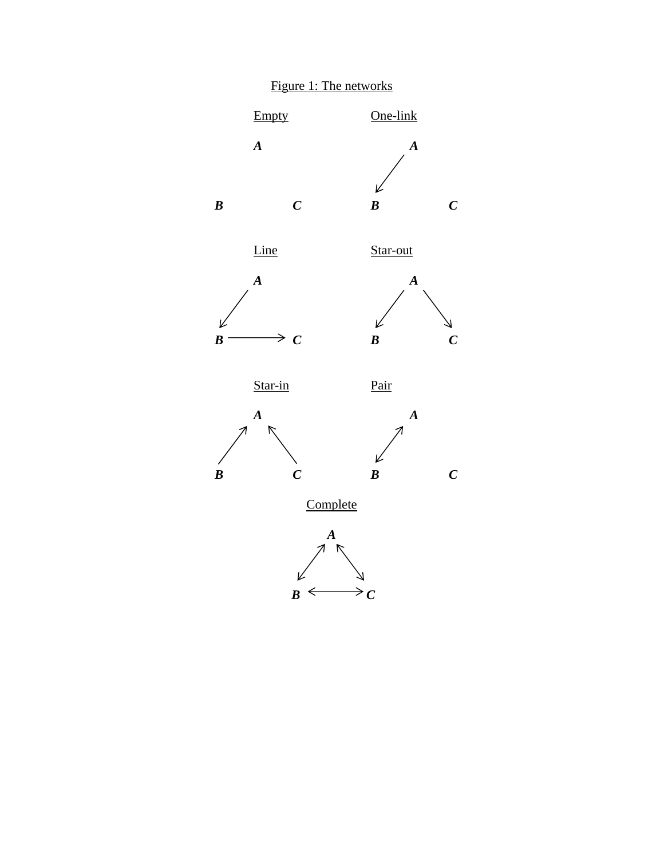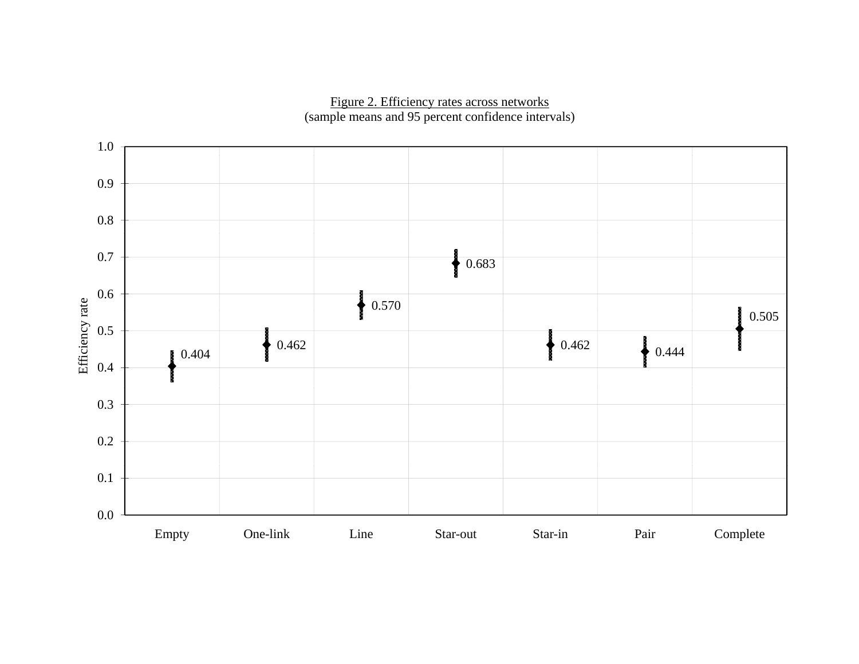# Figure 2. Efficiency rates across networks (sample means and 95 percent confidence intervals)

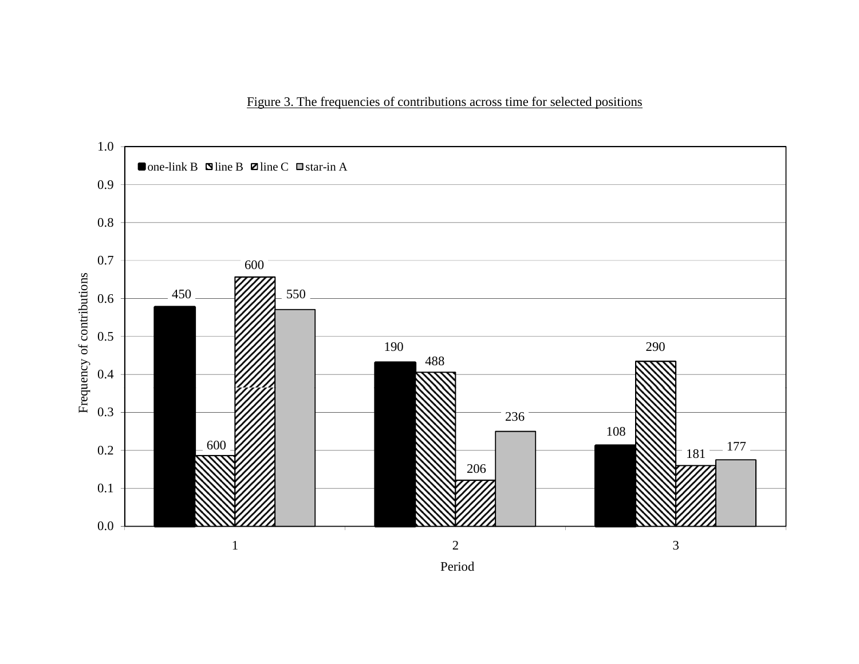



Period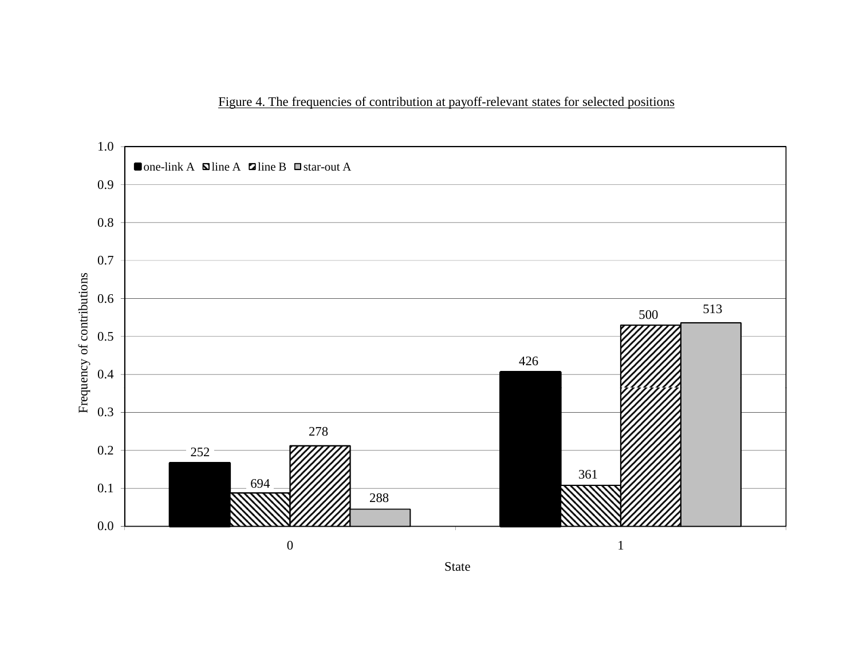

## Figure 4. The frequencies of contribution at payoff-relevant states for selected positions

State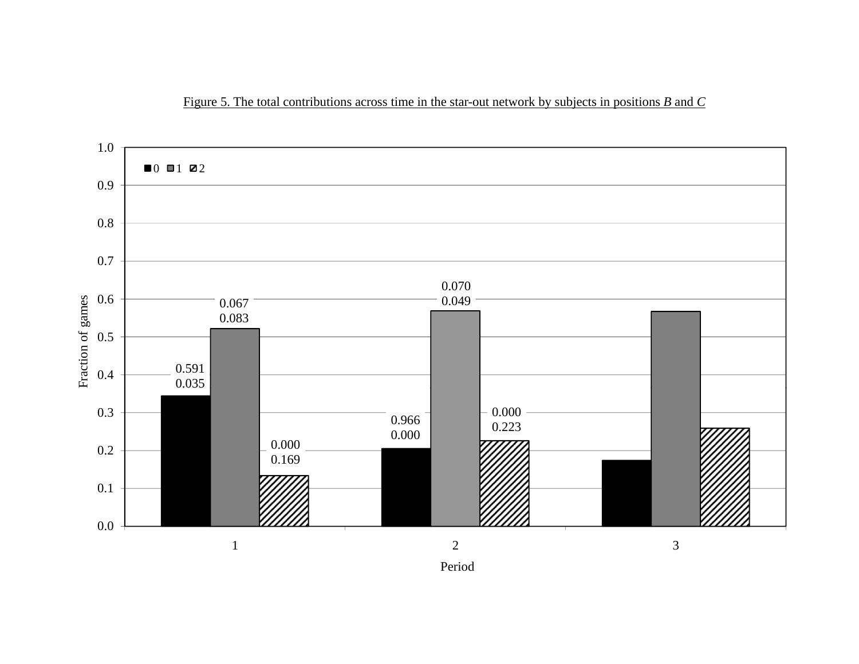

Figure 5. The total contributions across time in the star-out network by subjects in positions *B* and *C*

Period